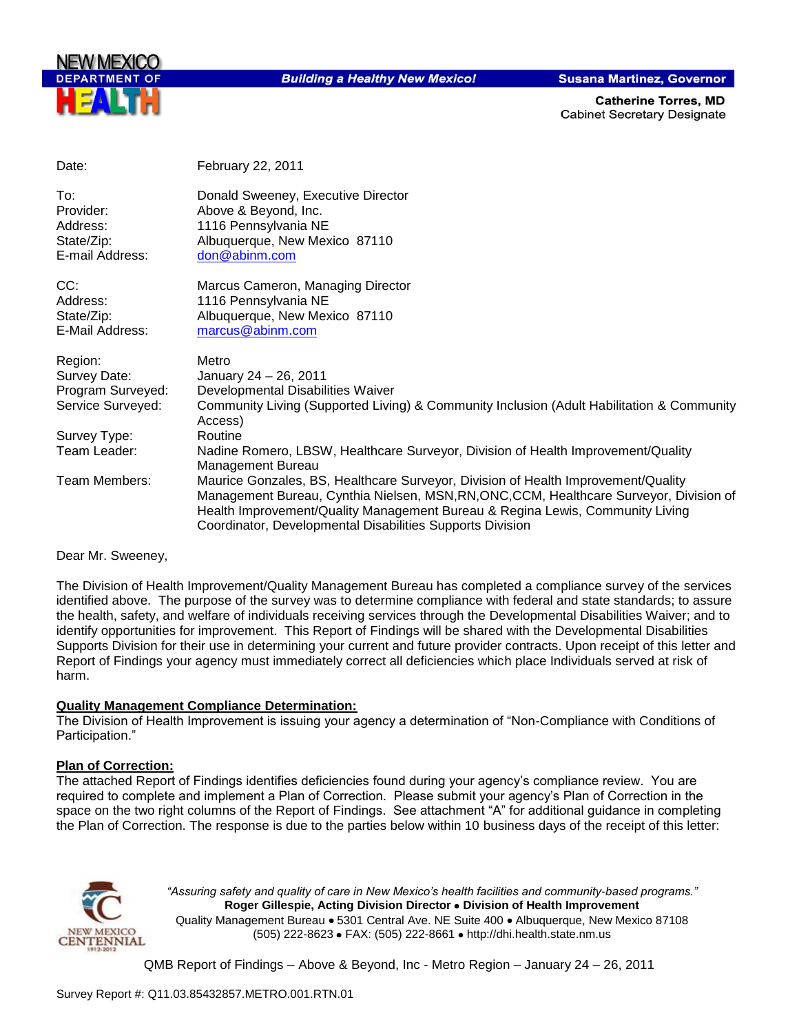

**Building a Healthy New Mexico!** 

**Susana Martinez, Governor** 

**Catherine Torres, MD Cabinet Secretary Designate** 

| Date:             | February 22, 2011                                                                                                                                                                                                                                                                                                          |
|-------------------|----------------------------------------------------------------------------------------------------------------------------------------------------------------------------------------------------------------------------------------------------------------------------------------------------------------------------|
| To:<br>Provider:  | Donald Sweeney, Executive Director                                                                                                                                                                                                                                                                                         |
| Address:          | Above & Beyond, Inc.<br>1116 Pennsylvania NE                                                                                                                                                                                                                                                                               |
| State/Zip:        | Albuquerque, New Mexico 87110                                                                                                                                                                                                                                                                                              |
| E-mail Address:   | don@abinm.com                                                                                                                                                                                                                                                                                                              |
| CC:               | Marcus Cameron, Managing Director                                                                                                                                                                                                                                                                                          |
| Address:          | 1116 Pennsylvania NE                                                                                                                                                                                                                                                                                                       |
| State/Zip:        | Albuquerque, New Mexico 87110                                                                                                                                                                                                                                                                                              |
| E-Mail Address:   | marcus@abinm.com                                                                                                                                                                                                                                                                                                           |
| Region:           | Metro                                                                                                                                                                                                                                                                                                                      |
| Survey Date:      | January 24 - 26, 2011                                                                                                                                                                                                                                                                                                      |
| Program Surveyed: | Developmental Disabilities Waiver                                                                                                                                                                                                                                                                                          |
| Service Surveyed: | Community Living (Supported Living) & Community Inclusion (Adult Habilitation & Community<br>Access)                                                                                                                                                                                                                       |
| Survey Type:      | Routine                                                                                                                                                                                                                                                                                                                    |
| Team Leader:      | Nadine Romero, LBSW, Healthcare Surveyor, Division of Health Improvement/Quality<br>Management Bureau                                                                                                                                                                                                                      |
| Team Members:     | Maurice Gonzales, BS, Healthcare Surveyor, Division of Health Improvement/Quality<br>Management Bureau, Cynthia Nielsen, MSN, RN, ONC, CCM, Healthcare Surveyor, Division of<br>Health Improvement/Quality Management Bureau & Regina Lewis, Community Living<br>Coordinator, Developmental Disabilities Supports Division |

Dear Mr. Sweeney,

The Division of Health Improvement/Quality Management Bureau has completed a compliance survey of the services identified above. The purpose of the survey was to determine compliance with federal and state standards; to assure the health, safety, and welfare of individuals receiving services through the Developmental Disabilities Waiver; and to identify opportunities for improvement. This Report of Findings will be shared with the Developmental Disabilities Supports Division for their use in determining your current and future provider contracts. Upon receipt of this letter and Report of Findings your agency must immediately correct all deficiencies which place Individuals served at risk of harm.

#### **Quality Management Compliance Determination:**

The Division of Health Improvement is issuing your agency a determination of "Non-Compliance with Conditions of Participation."

#### **Plan of Correction:**

The attached Report of Findings identifies deficiencies found during your agency"s compliance review. You are required to complete and implement a Plan of Correction. Please submit your agency"s Plan of Correction in the space on the two right columns of the Report of Findings. See attachment "A" for additional guidance in completing the Plan of Correction. The response is due to the parties below within 10 business days of the receipt of this letter:



*"Assuring safety and quality of care in New Mexico's health facilities and community-based programs."* **Roger Gillespie, Acting Division Director Division of Health Improvement**  Quality Management Bureau • 5301 Central Ave. NE Suite 400 • Albuquerque, New Mexico 87108 (505) 222-8623 • FAX: (505) 222-8661 • http://dhi.health.state.nm.us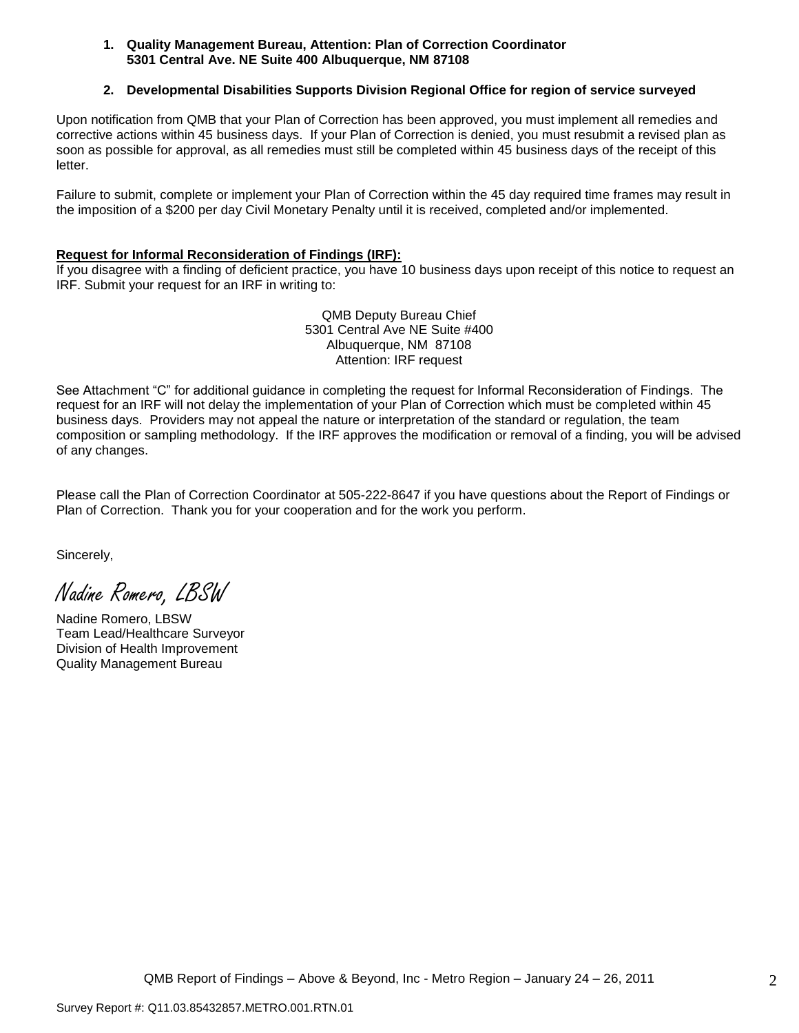#### **1. Quality Management Bureau, Attention: Plan of Correction Coordinator 5301 Central Ave. NE Suite 400 Albuquerque, NM 87108**

### **2. Developmental Disabilities Supports Division Regional Office for region of service surveyed**

Upon notification from QMB that your Plan of Correction has been approved, you must implement all remedies and corrective actions within 45 business days. If your Plan of Correction is denied, you must resubmit a revised plan as soon as possible for approval, as all remedies must still be completed within 45 business days of the receipt of this letter.

Failure to submit, complete or implement your Plan of Correction within the 45 day required time frames may result in the imposition of a \$200 per day Civil Monetary Penalty until it is received, completed and/or implemented.

#### **Request for Informal Reconsideration of Findings (IRF):**

If you disagree with a finding of deficient practice, you have 10 business days upon receipt of this notice to request an IRF. Submit your request for an IRF in writing to:

> QMB Deputy Bureau Chief 5301 Central Ave NE Suite #400 Albuquerque, NM 87108 Attention: IRF request

See Attachment "C" for additional guidance in completing the request for Informal Reconsideration of Findings. The request for an IRF will not delay the implementation of your Plan of Correction which must be completed within 45 business days. Providers may not appeal the nature or interpretation of the standard or regulation, the team composition or sampling methodology. If the IRF approves the modification or removal of a finding, you will be advised of any changes.

Please call the Plan of Correction Coordinator at 505-222-8647 if you have questions about the Report of Findings or Plan of Correction. Thank you for your cooperation and for the work you perform.

Sincerely,

Nadine Romero, LBSW

Nadine Romero, LBSW Team Lead/Healthcare Surveyor Division of Health Improvement Quality Management Bureau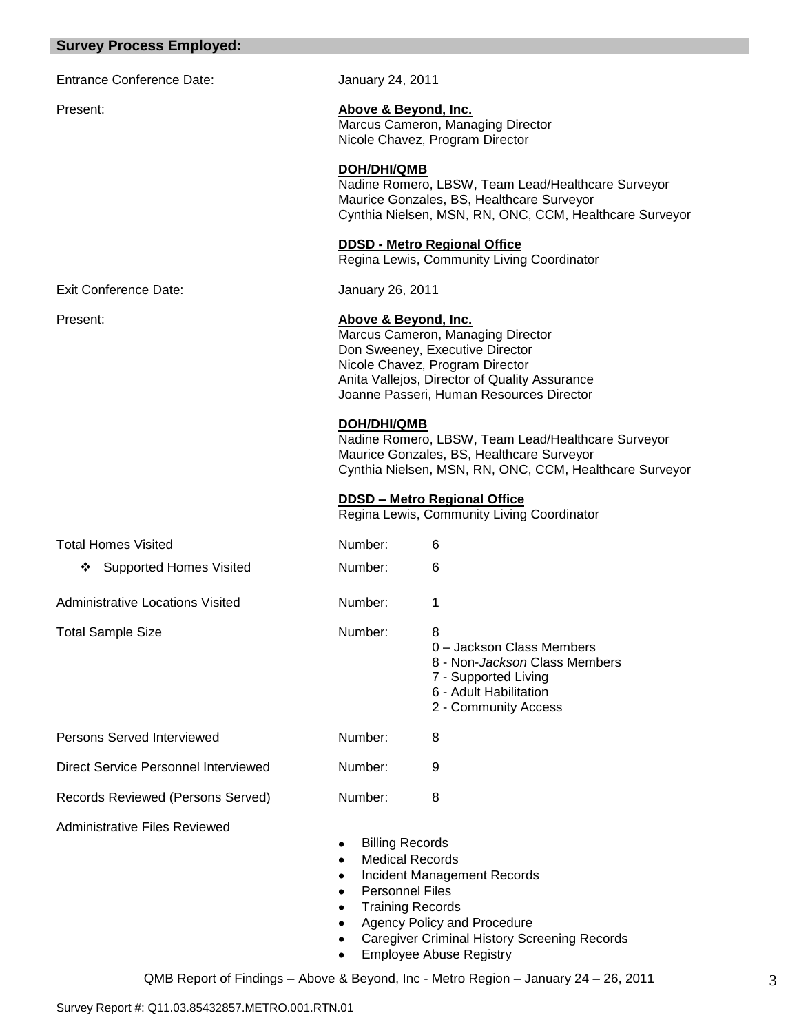# **Survey Process Employed:**

| <b>Entrance Conference Date:</b>            | January 24, 2011                                 |                                                                                                                                                                                                      |
|---------------------------------------------|--------------------------------------------------|------------------------------------------------------------------------------------------------------------------------------------------------------------------------------------------------------|
| Present:                                    | Above & Beyond, Inc.                             | Marcus Cameron, Managing Director<br>Nicole Chavez, Program Director                                                                                                                                 |
|                                             | DOH/DHI/QMB                                      | Nadine Romero, LBSW, Team Lead/Healthcare Surveyor<br>Maurice Gonzales, BS, Healthcare Surveyor<br>Cynthia Nielsen, MSN, RN, ONC, CCM, Healthcare Surveyor                                           |
|                                             |                                                  | <b>DDSD - Metro Regional Office</b><br>Regina Lewis, Community Living Coordinator                                                                                                                    |
| <b>Exit Conference Date:</b>                | January 26, 2011                                 |                                                                                                                                                                                                      |
| Present:                                    | Above & Beyond, Inc.                             | Marcus Cameron, Managing Director<br>Don Sweeney, Executive Director<br>Nicole Chavez, Program Director<br>Anita Vallejos, Director of Quality Assurance<br>Joanne Passeri, Human Resources Director |
|                                             | <b>DOH/DHI/QMB</b>                               | Nadine Romero, LBSW, Team Lead/Healthcare Surveyor<br>Maurice Gonzales, BS, Healthcare Surveyor<br>Cynthia Nielsen, MSN, RN, ONC, CCM, Healthcare Surveyor                                           |
|                                             |                                                  | <b>DDSD - Metro Regional Office</b><br>Regina Lewis, Community Living Coordinator                                                                                                                    |
| <b>Total Homes Visited</b>                  | Number:                                          | 6                                                                                                                                                                                                    |
| <b>Supported Homes Visited</b><br>❖         | Number:                                          | 6                                                                                                                                                                                                    |
| <b>Administrative Locations Visited</b>     | Number:                                          | 1                                                                                                                                                                                                    |
| <b>Total Sample Size</b>                    | Number:                                          | 8<br>0 - Jackson Class Members<br>8 - Non-Jackson Class Members<br>7 - Supported Living<br>6 - Adult Habilitation<br>2 - Community Access                                                            |
| <b>Persons Served Interviewed</b>           | Number:                                          | 8                                                                                                                                                                                                    |
| <b>Direct Service Personnel Interviewed</b> | Number:                                          | 9                                                                                                                                                                                                    |
| Records Reviewed (Persons Served)           | Number:                                          | 8                                                                                                                                                                                                    |
| <b>Administrative Files Reviewed</b>        | <b>Billing Records</b><br><b>Personnel Files</b> | <b>Medical Records</b><br>Incident Management Records                                                                                                                                                |

- Training Records
- Agency Policy and Procedure
- Caregiver Criminal History Screening Records  $\bullet$
- Employee Abuse Registry $\bullet$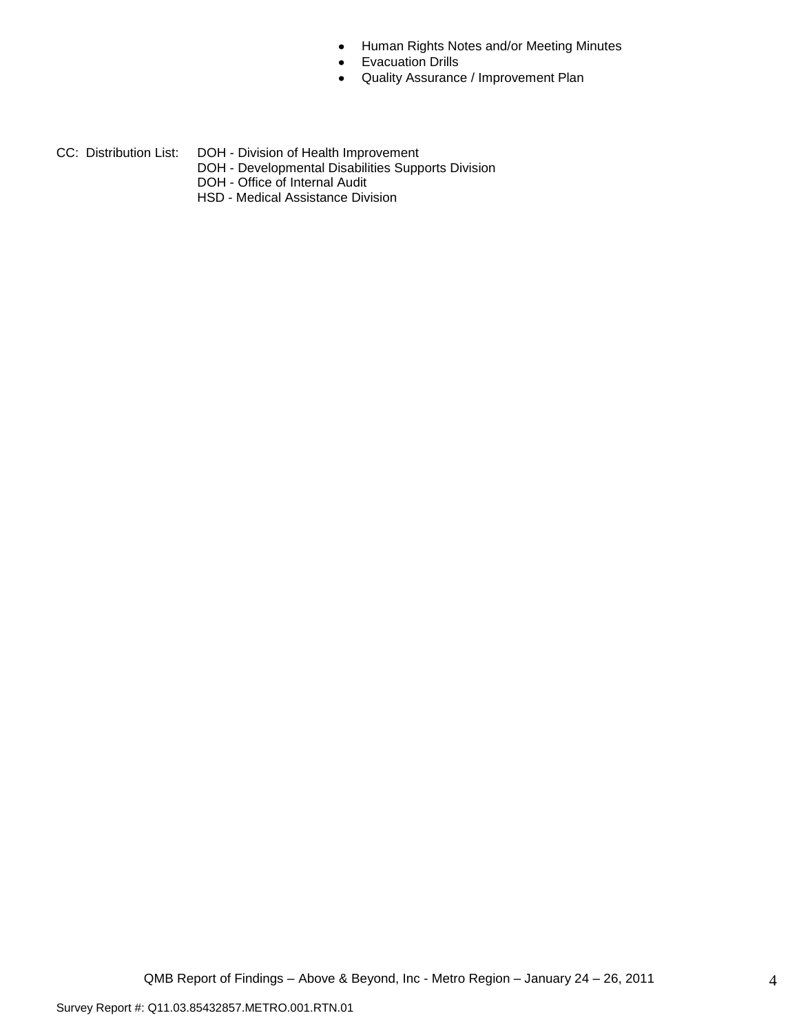- Human Rights Notes and/or Meeting Minutes  $\bullet$
- Evacuation Drills
- Quality Assurance / Improvement Plan  $\bullet$
- CC: Distribution List: DOH Division of Health Improvement
	- DOH Developmental Disabilities Supports Division
	- DOH Office of Internal Audit
	- HSD Medical Assistance Division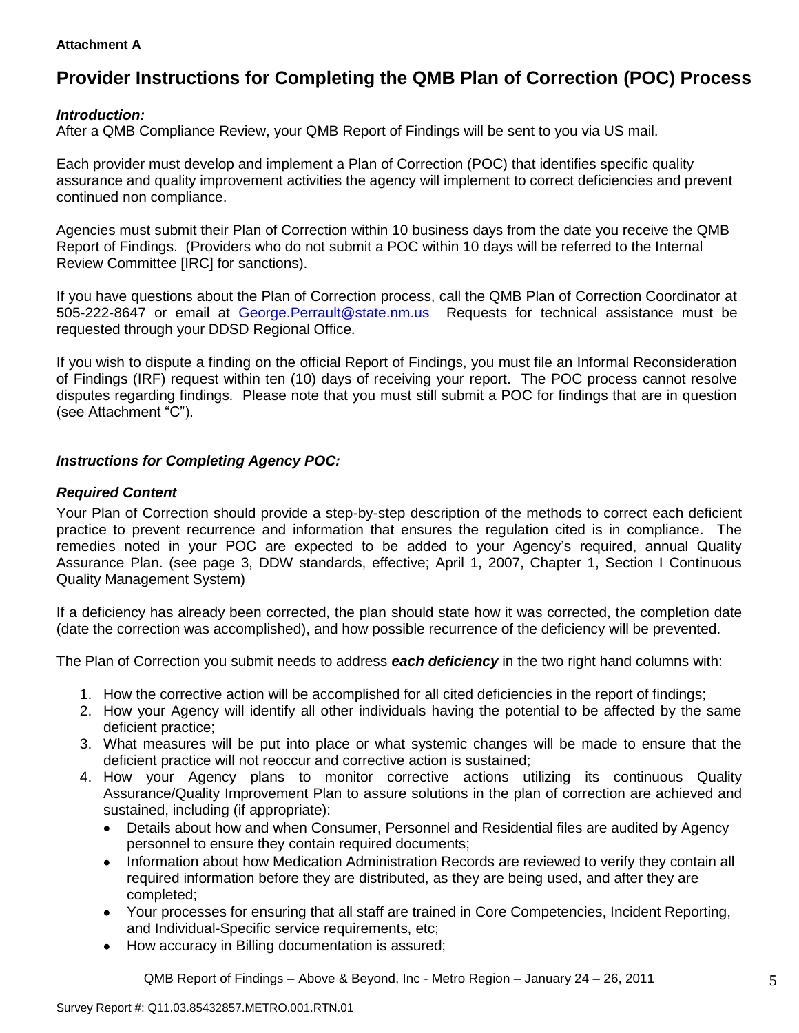### **Attachment A**

# **Provider Instructions for Completing the QMB Plan of Correction (POC) Process**

# *Introduction:*

After a QMB Compliance Review, your QMB Report of Findings will be sent to you via US mail.

Each provider must develop and implement a Plan of Correction (POC) that identifies specific quality assurance and quality improvement activities the agency will implement to correct deficiencies and prevent continued non compliance.

Agencies must submit their Plan of Correction within 10 business days from the date you receive the QMB Report of Findings. (Providers who do not submit a POC within 10 days will be referred to the Internal Review Committee [IRC] for sanctions).

If you have questions about the Plan of Correction process, call the QMB Plan of Correction Coordinator at 505-222-8647 or email at George.Perrault@state.nm.us Requests for technical assistance must be requested through your DDSD Regional Office.

If you wish to dispute a finding on the official Report of Findings, you must file an Informal Reconsideration of Findings (IRF) request within ten (10) days of receiving your report. The POC process cannot resolve disputes regarding findings. Please note that you must still submit a POC for findings that are in question (see Attachment "C").

# *Instructions for Completing Agency POC:*

# *Required Content*

Your Plan of Correction should provide a step-by-step description of the methods to correct each deficient practice to prevent recurrence and information that ensures the regulation cited is in compliance. The remedies noted in your POC are expected to be added to your Agency"s required, annual Quality Assurance Plan. (see page 3, DDW standards, effective; April 1, 2007, Chapter 1, Section I Continuous Quality Management System)

If a deficiency has already been corrected, the plan should state how it was corrected, the completion date (date the correction was accomplished), and how possible recurrence of the deficiency will be prevented.

The Plan of Correction you submit needs to address *each deficiency* in the two right hand columns with:

- 1. How the corrective action will be accomplished for all cited deficiencies in the report of findings;
- 2. How your Agency will identify all other individuals having the potential to be affected by the same deficient practice;
- 3. What measures will be put into place or what systemic changes will be made to ensure that the deficient practice will not reoccur and corrective action is sustained;
- 4. How your Agency plans to monitor corrective actions utilizing its continuous Quality Assurance/Quality Improvement Plan to assure solutions in the plan of correction are achieved and sustained, including (if appropriate):
	- Details about how and when Consumer, Personnel and Residential files are audited by Agency  $\bullet$ personnel to ensure they contain required documents;
	- Information about how Medication Administration Records are reviewed to verify they contain all  $\bullet$ required information before they are distributed, as they are being used, and after they are completed;
	- Your processes for ensuring that all staff are trained in Core Competencies, Incident Reporting, and Individual-Specific service requirements, etc;
	- How accuracy in Billing documentation is assured;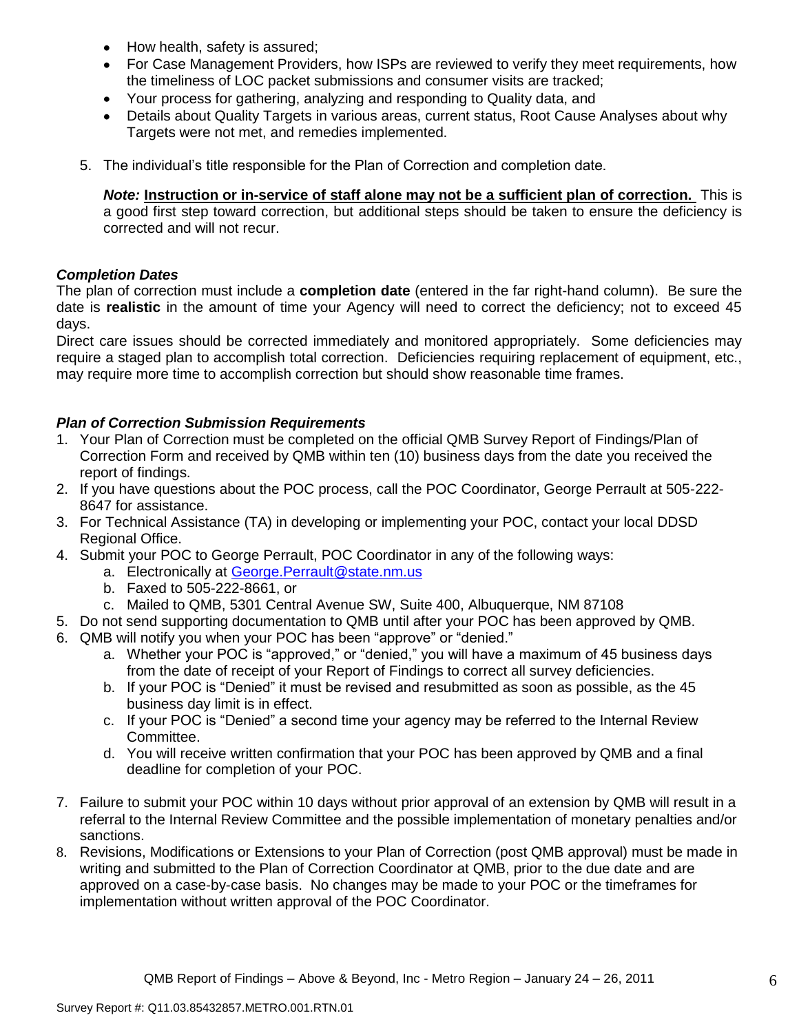- How health, safety is assured;  $\bullet$
- For Case Management Providers, how ISPs are reviewed to verify they meet requirements, how the timeliness of LOC packet submissions and consumer visits are tracked;
- $\bullet$ Your process for gathering, analyzing and responding to Quality data, and
- Details about Quality Targets in various areas, current status, Root Cause Analyses about why Targets were not met, and remedies implemented.
- 5. The individual"s title responsible for the Plan of Correction and completion date.

*Note:* **Instruction or in-service of staff alone may not be a sufficient plan of correction.** This is a good first step toward correction, but additional steps should be taken to ensure the deficiency is corrected and will not recur.

# *Completion Dates*

The plan of correction must include a **completion date** (entered in the far right-hand column). Be sure the date is **realistic** in the amount of time your Agency will need to correct the deficiency; not to exceed 45 days.

Direct care issues should be corrected immediately and monitored appropriately. Some deficiencies may require a staged plan to accomplish total correction. Deficiencies requiring replacement of equipment, etc., may require more time to accomplish correction but should show reasonable time frames.

# *Plan of Correction Submission Requirements*

- 1. Your Plan of Correction must be completed on the official QMB Survey Report of Findings/Plan of Correction Form and received by QMB within ten (10) business days from the date you received the report of findings.
- 2. If you have questions about the POC process, call the POC Coordinator, George Perrault at 505-222- 8647 for assistance.
- 3. For Technical Assistance (TA) in developing or implementing your POC, contact your local DDSD Regional Office.
- 4. Submit your POC to George Perrault, POC Coordinator in any of the following ways:
	- a. Electronically at [George.Perrault@state.nm.us](mailto:George.Perrault@state.nm.us)
	- b. Faxed to 505-222-8661, or
	- c. Mailed to QMB, 5301 Central Avenue SW, Suite 400, Albuquerque, NM 87108
- 5. Do not send supporting documentation to QMB until after your POC has been approved by QMB.
- 6. QMB will notify you when your POC has been "approve" or "denied."
	- a. Whether your POC is "approved," or "denied," you will have a maximum of 45 business days from the date of receipt of your Report of Findings to correct all survey deficiencies.
	- b. If your POC is "Denied" it must be revised and resubmitted as soon as possible, as the 45 business day limit is in effect.
	- c. If your POC is "Denied" a second time your agency may be referred to the Internal Review Committee.
	- d. You will receive written confirmation that your POC has been approved by QMB and a final deadline for completion of your POC.
- 7. Failure to submit your POC within 10 days without prior approval of an extension by QMB will result in a referral to the Internal Review Committee and the possible implementation of monetary penalties and/or sanctions.
- 8. Revisions, Modifications or Extensions to your Plan of Correction (post QMB approval) must be made in writing and submitted to the Plan of Correction Coordinator at QMB, prior to the due date and are approved on a case-by-case basis. No changes may be made to your POC or the timeframes for implementation without written approval of the POC Coordinator.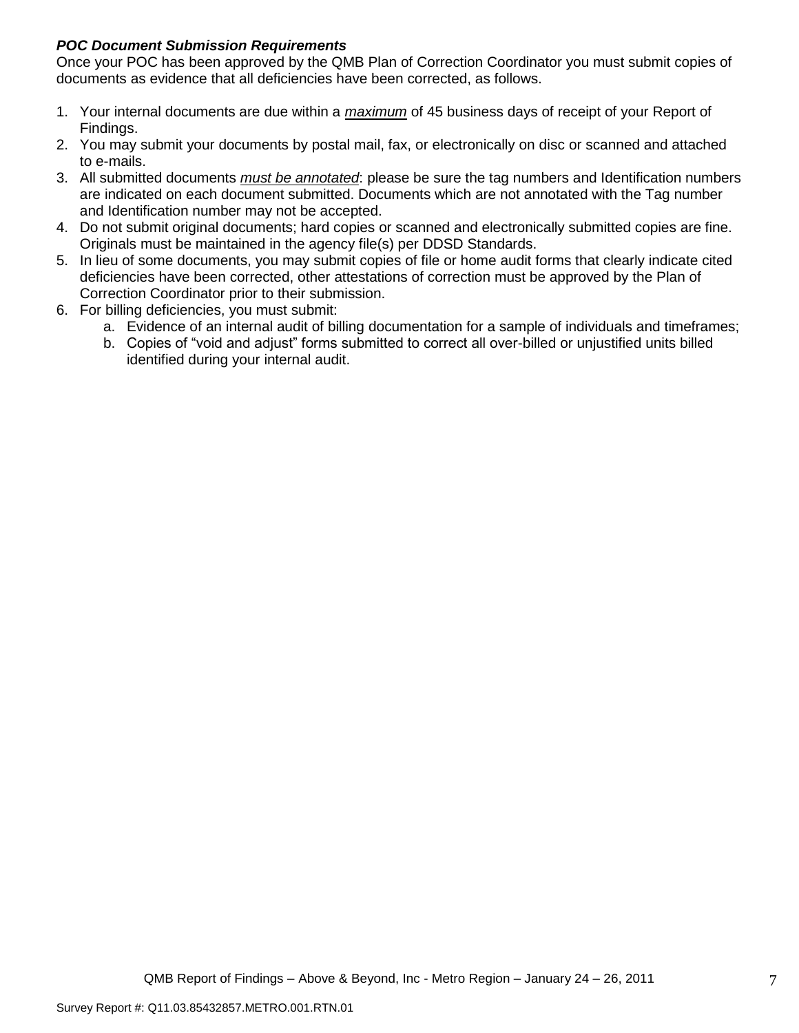# *POC Document Submission Requirements*

Once your POC has been approved by the QMB Plan of Correction Coordinator you must submit copies of documents as evidence that all deficiencies have been corrected, as follows.

- 1. Your internal documents are due within a *maximum* of 45 business days of receipt of your Report of Findings.
- 2. You may submit your documents by postal mail, fax, or electronically on disc or scanned and attached to e-mails.
- 3. All submitted documents *must be annotated*: please be sure the tag numbers and Identification numbers are indicated on each document submitted. Documents which are not annotated with the Tag number and Identification number may not be accepted.
- 4. Do not submit original documents; hard copies or scanned and electronically submitted copies are fine. Originals must be maintained in the agency file(s) per DDSD Standards.
- 5. In lieu of some documents, you may submit copies of file or home audit forms that clearly indicate cited deficiencies have been corrected, other attestations of correction must be approved by the Plan of Correction Coordinator prior to their submission.
- 6. For billing deficiencies, you must submit:
	- a. Evidence of an internal audit of billing documentation for a sample of individuals and timeframes;
	- b. Copies of "void and adjust" forms submitted to correct all over-billed or unjustified units billed identified during your internal audit.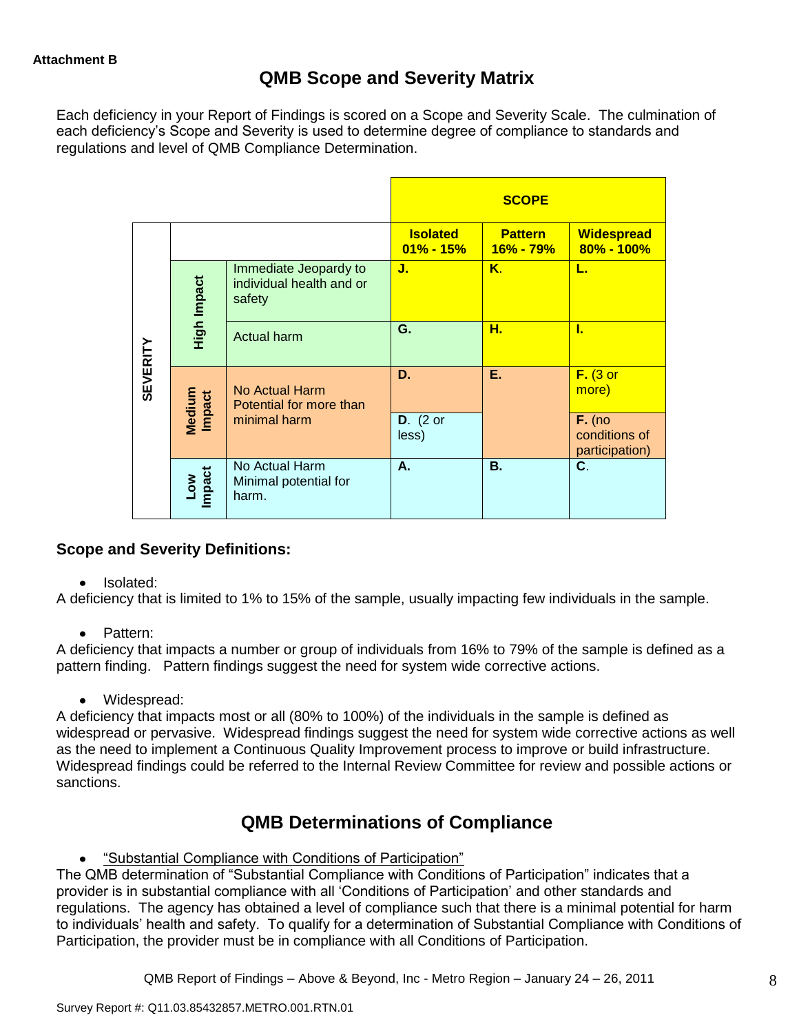# **QMB Scope and Severity Matrix**

Each deficiency in your Report of Findings is scored on a Scope and Severity Scale. The culmination of each deficiency"s Scope and Severity is used to determine degree of compliance to standards and regulations and level of QMB Compliance Determination.

|                 |                                |                                                             |                                  | <b>SCOPE</b>                    |                                             |
|-----------------|--------------------------------|-------------------------------------------------------------|----------------------------------|---------------------------------|---------------------------------------------|
|                 |                                |                                                             | <b>Isolated</b><br>$01\% - 15\%$ | <b>Pattern</b><br>$16\% - 79\%$ | <b>Widespread</b><br>80% - 100%             |
|                 | High Impact                    | Immediate Jeopardy to<br>individual health and or<br>safety | J.                               | Κ.                              | L.                                          |
|                 |                                | <b>Actual harm</b>                                          | G.                               | н.                              | L                                           |
| <b>SEVERITY</b> | <b>Medium</b><br><b>Impact</b> | No Actual Harm<br>Potential for more than                   | D.                               | Е.                              | $F.$ (3 or<br>more)                         |
|                 |                                | minimal harm                                                | $D.$ (2 or<br>less)              |                                 | $F.$ (no<br>conditions of<br>participation) |
|                 | Low<br>Impact                  | No Actual Harm<br>Minimal potential for<br>harm.            | А.                               | В.                              | C.                                          |

# **Scope and Severity Definitions:**

### Isolated:

A deficiency that is limited to 1% to 15% of the sample, usually impacting few individuals in the sample.

• Pattern:

A deficiency that impacts a number or group of individuals from 16% to 79% of the sample is defined as a pattern finding. Pattern findings suggest the need for system wide corrective actions.

Widespread:

A deficiency that impacts most or all (80% to 100%) of the individuals in the sample is defined as widespread or pervasive. Widespread findings suggest the need for system wide corrective actions as well as the need to implement a Continuous Quality Improvement process to improve or build infrastructure. Widespread findings could be referred to the Internal Review Committee for review and possible actions or sanctions.

# **QMB Determinations of Compliance**

"Substantial Compliance with Conditions of Participation"

The QMB determination of "Substantial Compliance with Conditions of Participation" indicates that a provider is in substantial compliance with all "Conditions of Participation" and other standards and regulations. The agency has obtained a level of compliance such that there is a minimal potential for harm to individuals" health and safety. To qualify for a determination of Substantial Compliance with Conditions of Participation, the provider must be in compliance with all Conditions of Participation.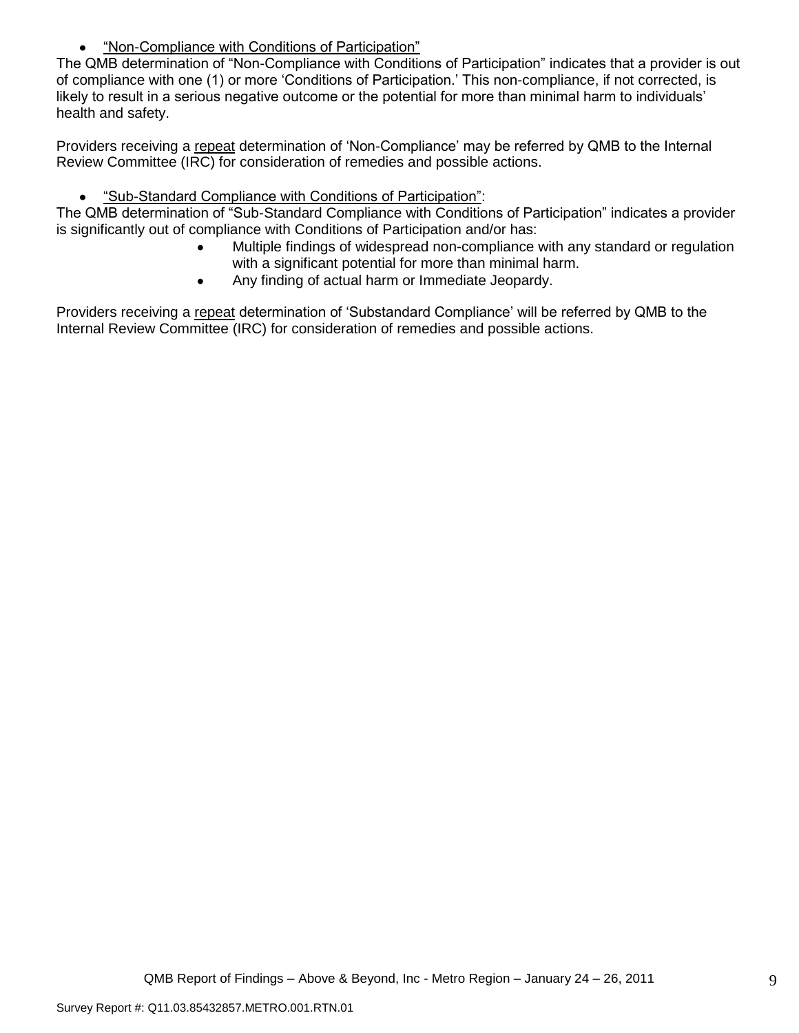"Non-Compliance with Conditions of Participation"  $\bullet$ 

The QMB determination of "Non-Compliance with Conditions of Participation" indicates that a provider is out of compliance with one (1) or more "Conditions of Participation." This non-compliance, if not corrected, is likely to result in a serious negative outcome or the potential for more than minimal harm to individuals" health and safety.

Providers receiving a repeat determination of "Non-Compliance" may be referred by QMB to the Internal Review Committee (IRC) for consideration of remedies and possible actions.

 $\bullet$ "Sub-Standard Compliance with Conditions of Participation":

The QMB determination of "Sub-Standard Compliance with Conditions of Participation" indicates a provider is significantly out of compliance with Conditions of Participation and/or has:

- Multiple findings of widespread non-compliance with any standard or regulation with a significant potential for more than minimal harm.
- Any finding of actual harm or Immediate Jeopardy.  $\bullet$

Providers receiving a repeat determination of "Substandard Compliance" will be referred by QMB to the Internal Review Committee (IRC) for consideration of remedies and possible actions.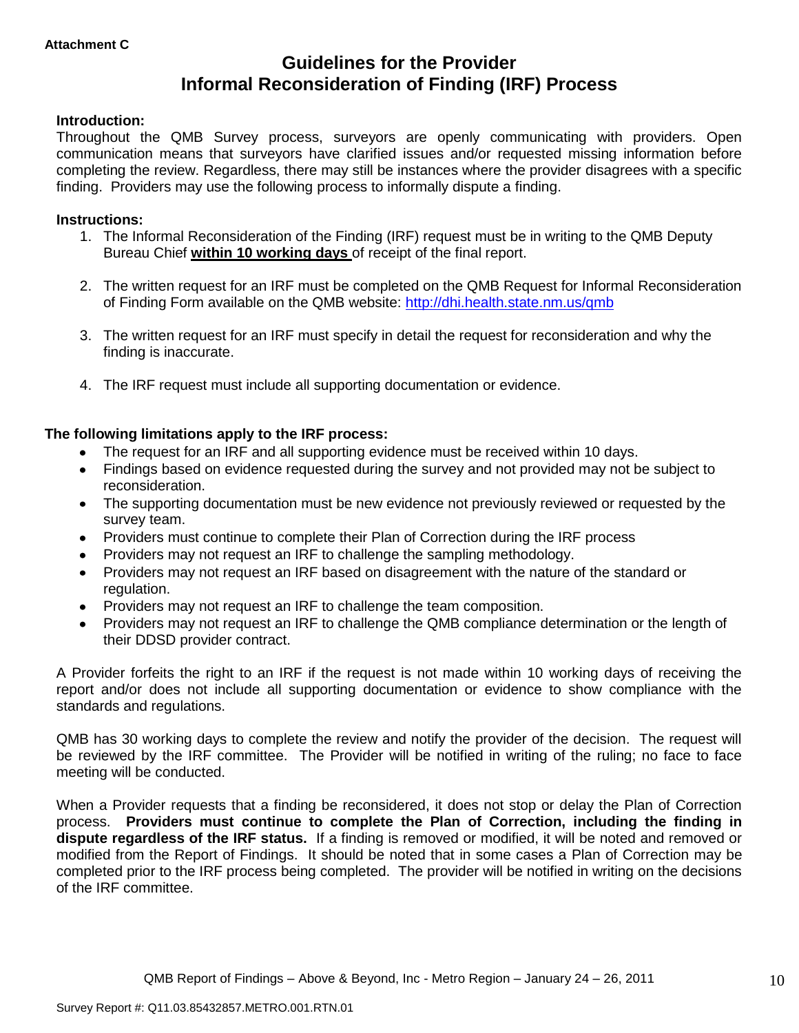# **Guidelines for the Provider Informal Reconsideration of Finding (IRF) Process**

# **Introduction:**

Throughout the QMB Survey process, surveyors are openly communicating with providers. Open communication means that surveyors have clarified issues and/or requested missing information before completing the review. Regardless, there may still be instances where the provider disagrees with a specific finding. Providers may use the following process to informally dispute a finding.

### **Instructions:**

- 1. The Informal Reconsideration of the Finding (IRF) request must be in writing to the QMB Deputy Bureau Chief **within 10 working days** of receipt of the final report.
- 2. The written request for an IRF must be completed on the QMB Request for Informal Reconsideration of Finding Form available on the QMB website:<http://dhi.health.state.nm.us/qmb>
- 3. The written request for an IRF must specify in detail the request for reconsideration and why the finding is inaccurate.
- 4. The IRF request must include all supporting documentation or evidence.

# **The following limitations apply to the IRF process:**

- The request for an IRF and all supporting evidence must be received within 10 days.
- Findings based on evidence requested during the survey and not provided may not be subject to reconsideration.
- The supporting documentation must be new evidence not previously reviewed or requested by the survey team.
- Providers must continue to complete their Plan of Correction during the IRF process  $\bullet$
- Providers may not request an IRF to challenge the sampling methodology.
- Providers may not request an IRF based on disagreement with the nature of the standard or  $\bullet$ regulation.
- Providers may not request an IRF to challenge the team composition.
- Providers may not request an IRF to challenge the QMB compliance determination or the length of  $\bullet$ their DDSD provider contract.

A Provider forfeits the right to an IRF if the request is not made within 10 working days of receiving the report and/or does not include all supporting documentation or evidence to show compliance with the standards and regulations.

QMB has 30 working days to complete the review and notify the provider of the decision. The request will be reviewed by the IRF committee. The Provider will be notified in writing of the ruling; no face to face meeting will be conducted.

When a Provider requests that a finding be reconsidered, it does not stop or delay the Plan of Correction process. **Providers must continue to complete the Plan of Correction, including the finding in dispute regardless of the IRF status.** If a finding is removed or modified, it will be noted and removed or modified from the Report of Findings. It should be noted that in some cases a Plan of Correction may be completed prior to the IRF process being completed. The provider will be notified in writing on the decisions of the IRF committee.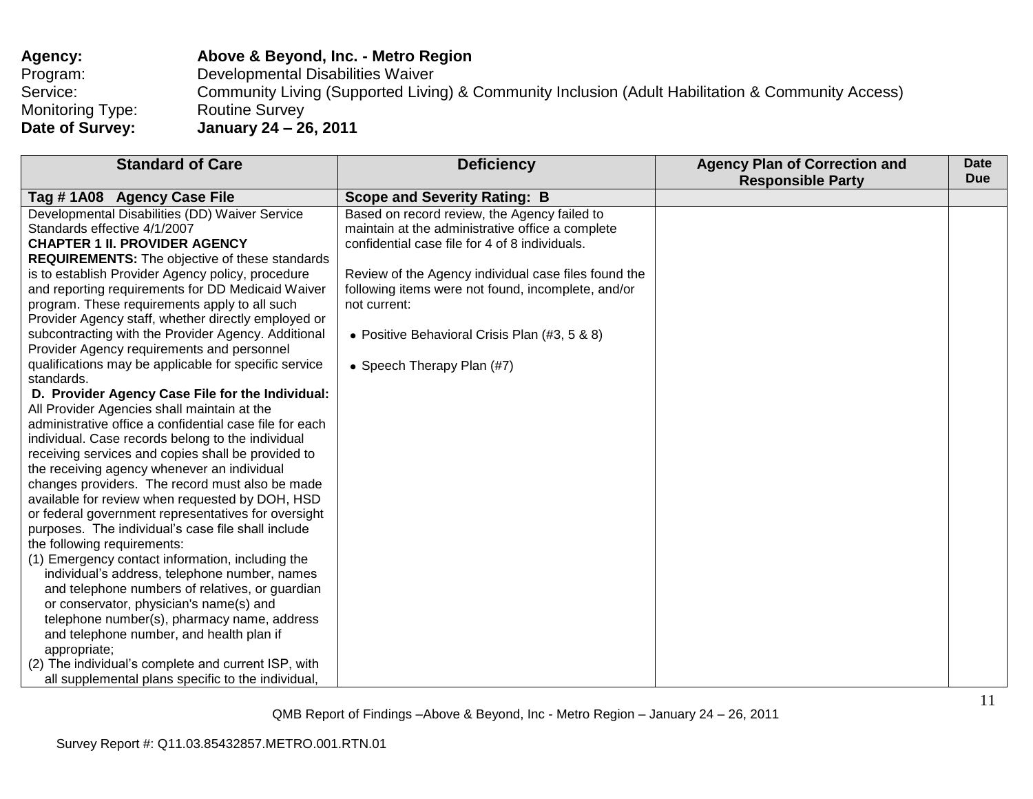| <b>Agency:</b>   | Above & Beyond, Inc. - Metro Region                                                               |
|------------------|---------------------------------------------------------------------------------------------------|
| Program:         | Developmental Disabilities Waiver                                                                 |
| Service:         | Community Living (Supported Living) & Community Inclusion (Adult Habilitation & Community Access) |
| Monitoring Type: | <b>Routine Survey</b>                                                                             |
| Date of Survey:  | January 24 – 26, 2011                                                                             |

| <b>Standard of Care</b>                                                                                                                                                                                                                                                                                                                                                                                                                                                                                                                                                                                                                                                                                                                                                                                                                                                                                                                       | <b>Deficiency</b>                                                                                                                                                                                                                                                                                                                                                                                      | <b>Agency Plan of Correction and</b><br><b>Responsible Party</b> | <b>Date</b><br><b>Due</b> |
|-----------------------------------------------------------------------------------------------------------------------------------------------------------------------------------------------------------------------------------------------------------------------------------------------------------------------------------------------------------------------------------------------------------------------------------------------------------------------------------------------------------------------------------------------------------------------------------------------------------------------------------------------------------------------------------------------------------------------------------------------------------------------------------------------------------------------------------------------------------------------------------------------------------------------------------------------|--------------------------------------------------------------------------------------------------------------------------------------------------------------------------------------------------------------------------------------------------------------------------------------------------------------------------------------------------------------------------------------------------------|------------------------------------------------------------------|---------------------------|
|                                                                                                                                                                                                                                                                                                                                                                                                                                                                                                                                                                                                                                                                                                                                                                                                                                                                                                                                               |                                                                                                                                                                                                                                                                                                                                                                                                        |                                                                  |                           |
| Tag # 1A08 Agency Case File<br>Developmental Disabilities (DD) Waiver Service<br>Standards effective 4/1/2007<br><b>CHAPTER 1 II. PROVIDER AGENCY</b><br><b>REQUIREMENTS:</b> The objective of these standards<br>is to establish Provider Agency policy, procedure<br>and reporting requirements for DD Medicaid Waiver<br>program. These requirements apply to all such<br>Provider Agency staff, whether directly employed or<br>subcontracting with the Provider Agency. Additional<br>Provider Agency requirements and personnel<br>qualifications may be applicable for specific service<br>standards.<br>D. Provider Agency Case File for the Individual:                                                                                                                                                                                                                                                                              | <b>Scope and Severity Rating: B</b><br>Based on record review, the Agency failed to<br>maintain at the administrative office a complete<br>confidential case file for 4 of 8 individuals.<br>Review of the Agency individual case files found the<br>following items were not found, incomplete, and/or<br>not current:<br>• Positive Behavioral Crisis Plan (#3, 5 & 8)<br>• Speech Therapy Plan (#7) |                                                                  |                           |
| All Provider Agencies shall maintain at the<br>administrative office a confidential case file for each<br>individual. Case records belong to the individual<br>receiving services and copies shall be provided to<br>the receiving agency whenever an individual<br>changes providers. The record must also be made<br>available for review when requested by DOH, HSD<br>or federal government representatives for oversight<br>purposes. The individual's case file shall include<br>the following requirements:<br>(1) Emergency contact information, including the<br>individual's address, telephone number, names<br>and telephone numbers of relatives, or guardian<br>or conservator, physician's name(s) and<br>telephone number(s), pharmacy name, address<br>and telephone number, and health plan if<br>appropriate;<br>(2) The individual's complete and current ISP, with<br>all supplemental plans specific to the individual, |                                                                                                                                                                                                                                                                                                                                                                                                        |                                                                  |                           |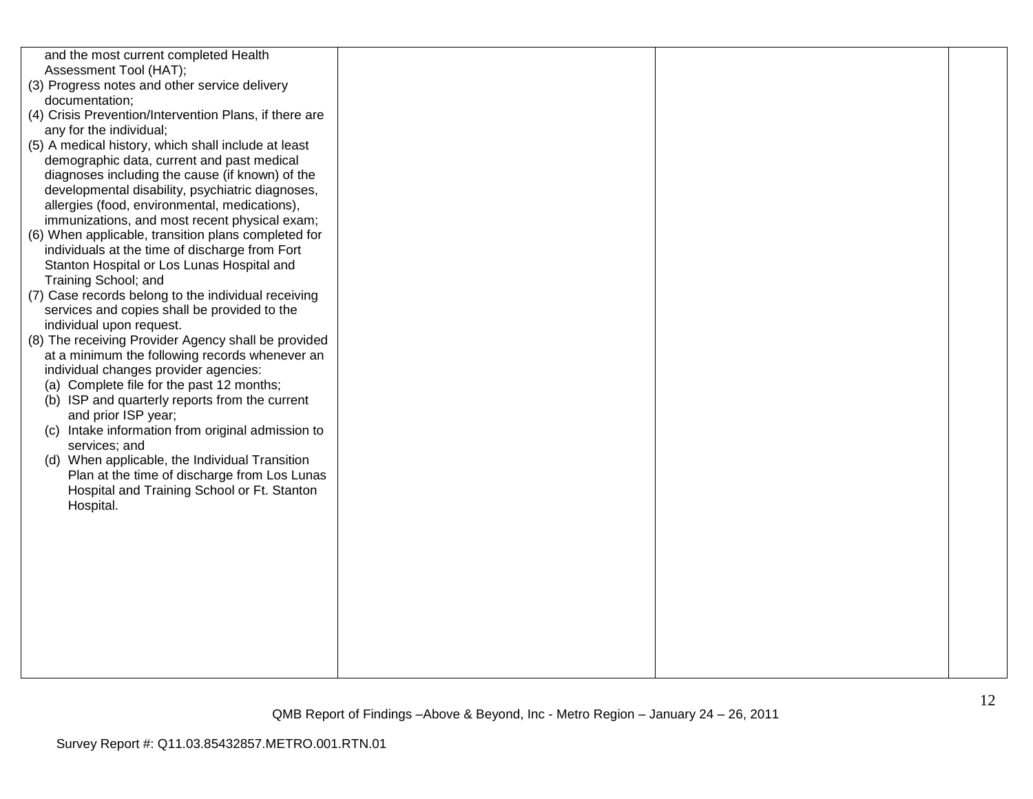| and the most current completed Health<br>Assessment Tool (HAT);<br>(3) Progress notes and other service delivery<br>documentation;<br>(4) Crisis Prevention/Intervention Plans, if there are<br>any for the individual;<br>(5) A medical history, which shall include at least<br>demographic data, current and past medical<br>diagnoses including the cause (if known) of the<br>developmental disability, psychiatric diagnoses,<br>allergies (food, environmental, medications),<br>immunizations, and most recent physical exam;<br>(6) When applicable, transition plans completed for<br>individuals at the time of discharge from Fort<br>Stanton Hospital or Los Lunas Hospital and<br>Training School; and<br>(7) Case records belong to the individual receiving<br>services and copies shall be provided to the<br>individual upon request.<br>(8) The receiving Provider Agency shall be provided<br>at a minimum the following records whenever an<br>individual changes provider agencies:<br>(a) Complete file for the past 12 months;<br>(b) ISP and quarterly reports from the current<br>and prior ISP year;<br>(c) Intake information from original admission to<br>services; and<br>(d) When applicable, the Individual Transition<br>Plan at the time of discharge from Los Lunas<br>Hospital and Training School or Ft. Stanton<br>Hospital. |  |  |
|---------------------------------------------------------------------------------------------------------------------------------------------------------------------------------------------------------------------------------------------------------------------------------------------------------------------------------------------------------------------------------------------------------------------------------------------------------------------------------------------------------------------------------------------------------------------------------------------------------------------------------------------------------------------------------------------------------------------------------------------------------------------------------------------------------------------------------------------------------------------------------------------------------------------------------------------------------------------------------------------------------------------------------------------------------------------------------------------------------------------------------------------------------------------------------------------------------------------------------------------------------------------------------------------------------------------------------------------------------------------|--|--|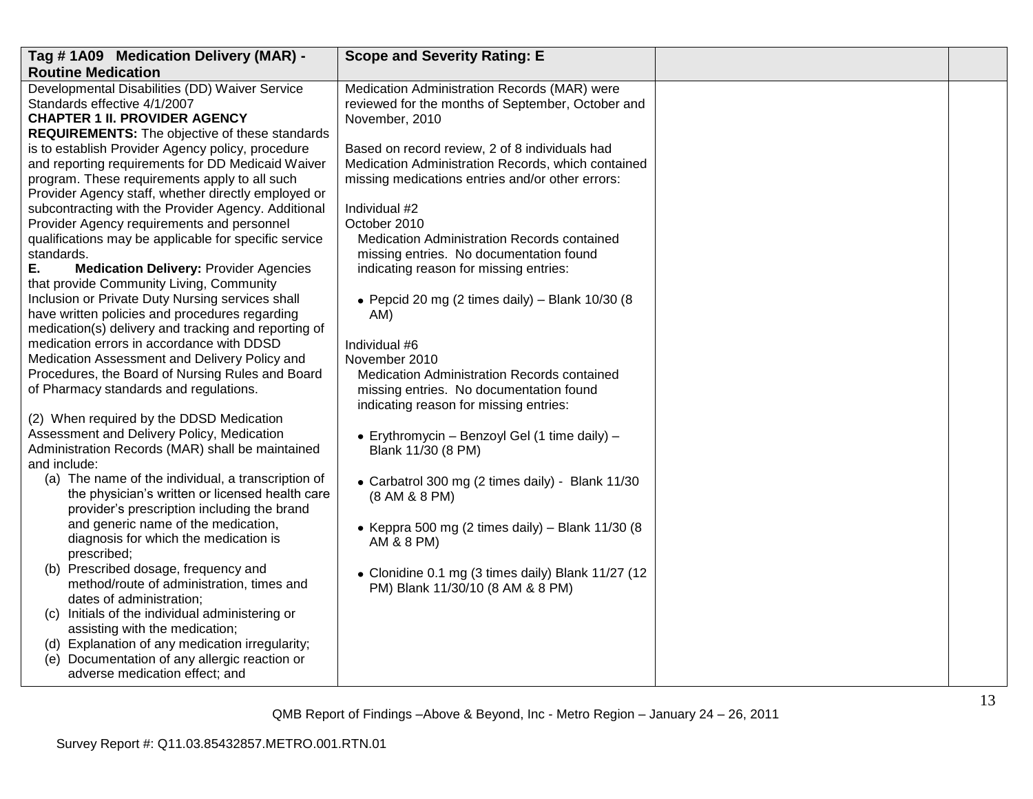| Tag #1A09 Medication Delivery (MAR) -                                                        | <b>Scope and Severity Rating: E</b>                |  |
|----------------------------------------------------------------------------------------------|----------------------------------------------------|--|
| <b>Routine Medication</b>                                                                    |                                                    |  |
| Developmental Disabilities (DD) Waiver Service                                               | Medication Administration Records (MAR) were       |  |
| Standards effective 4/1/2007                                                                 | reviewed for the months of September, October and  |  |
| <b>CHAPTER 1 II. PROVIDER AGENCY</b>                                                         | November, 2010                                     |  |
| <b>REQUIREMENTS:</b> The objective of these standards                                        |                                                    |  |
| is to establish Provider Agency policy, procedure                                            | Based on record review, 2 of 8 individuals had     |  |
| and reporting requirements for DD Medicaid Waiver                                            | Medication Administration Records, which contained |  |
| program. These requirements apply to all such                                                | missing medications entries and/or other errors:   |  |
| Provider Agency staff, whether directly employed or                                          |                                                    |  |
| subcontracting with the Provider Agency. Additional                                          | Individual #2                                      |  |
| Provider Agency requirements and personnel                                                   | October 2010                                       |  |
| qualifications may be applicable for specific service                                        | Medication Administration Records contained        |  |
| standards.                                                                                   | missing entries. No documentation found            |  |
| Е.<br><b>Medication Delivery: Provider Agencies</b>                                          | indicating reason for missing entries:             |  |
| that provide Community Living, Community<br>Inclusion or Private Duty Nursing services shall |                                                    |  |
| have written policies and procedures regarding                                               | • Pepcid 20 mg (2 times daily) - Blank $10/30$ (8  |  |
| medication(s) delivery and tracking and reporting of                                         | AM)                                                |  |
| medication errors in accordance with DDSD                                                    | Individual #6                                      |  |
| Medication Assessment and Delivery Policy and                                                | November 2010                                      |  |
| Procedures, the Board of Nursing Rules and Board                                             | Medication Administration Records contained        |  |
| of Pharmacy standards and regulations.                                                       | missing entries. No documentation found            |  |
|                                                                                              | indicating reason for missing entries:             |  |
| (2) When required by the DDSD Medication                                                     |                                                    |  |
| Assessment and Delivery Policy, Medication                                                   | • Erythromycin - Benzoyl Gel (1 time daily) -      |  |
| Administration Records (MAR) shall be maintained                                             | Blank 11/30 (8 PM)                                 |  |
| and include:                                                                                 |                                                    |  |
| (a) The name of the individual, a transcription of                                           | • Carbatrol 300 mg (2 times daily) - Blank 11/30   |  |
| the physician's written or licensed health care                                              | (8 AM & 8 PM)                                      |  |
| provider's prescription including the brand                                                  |                                                    |  |
| and generic name of the medication,                                                          | • Keppra 500 mg (2 times daily) – Blank $11/30$ (8 |  |
| diagnosis for which the medication is                                                        | AM & 8 PM)                                         |  |
| prescribed;                                                                                  |                                                    |  |
| (b) Prescribed dosage, frequency and                                                         | • Clonidine 0.1 mg (3 times daily) Blank 11/27 (12 |  |
| method/route of administration, times and                                                    | PM) Blank 11/30/10 (8 AM & 8 PM)                   |  |
| dates of administration;                                                                     |                                                    |  |
| (c) Initials of the individual administering or                                              |                                                    |  |
| assisting with the medication;                                                               |                                                    |  |
| (d) Explanation of any medication irregularity;                                              |                                                    |  |
| (e) Documentation of any allergic reaction or                                                |                                                    |  |
| adverse medication effect; and                                                               |                                                    |  |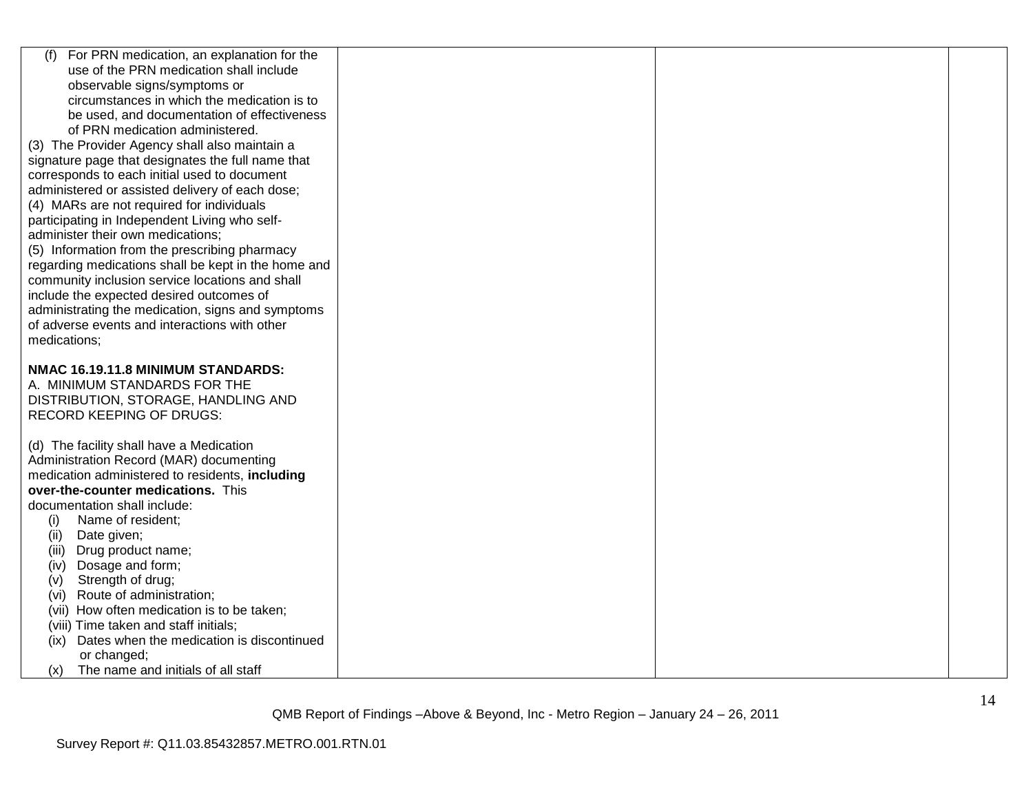| For PRN medication, an explanation for the<br>(f)   |  |  |
|-----------------------------------------------------|--|--|
| use of the PRN medication shall include             |  |  |
| observable signs/symptoms or                        |  |  |
| circumstances in which the medication is to         |  |  |
| be used, and documentation of effectiveness         |  |  |
| of PRN medication administered.                     |  |  |
| (3) The Provider Agency shall also maintain a       |  |  |
| signature page that designates the full name that   |  |  |
| corresponds to each initial used to document        |  |  |
| administered or assisted delivery of each dose;     |  |  |
| (4) MARs are not required for individuals           |  |  |
| participating in Independent Living who self-       |  |  |
| administer their own medications;                   |  |  |
| (5) Information from the prescribing pharmacy       |  |  |
| regarding medications shall be kept in the home and |  |  |
| community inclusion service locations and shall     |  |  |
| include the expected desired outcomes of            |  |  |
| administrating the medication, signs and symptoms   |  |  |
| of adverse events and interactions with other       |  |  |
| medications;                                        |  |  |
|                                                     |  |  |
|                                                     |  |  |
| NMAC 16.19.11.8 MINIMUM STANDARDS:                  |  |  |
| A. MINIMUM STANDARDS FOR THE                        |  |  |
| DISTRIBUTION, STORAGE, HANDLING AND                 |  |  |
| <b>RECORD KEEPING OF DRUGS:</b>                     |  |  |
|                                                     |  |  |
| (d) The facility shall have a Medication            |  |  |
| Administration Record (MAR) documenting             |  |  |
| medication administered to residents, including     |  |  |
| over-the-counter medications. This                  |  |  |
| documentation shall include:                        |  |  |
| Name of resident;<br>(i)                            |  |  |
| (ii)<br>Date given;                                 |  |  |
| (iii)<br>Drug product name;                         |  |  |
| Dosage and form;<br>(iv)                            |  |  |
| Strength of drug;<br>(v)                            |  |  |
| (vi) Route of administration;                       |  |  |
| (vii) How often medication is to be taken;          |  |  |
| (viii) Time taken and staff initials;               |  |  |
| (ix) Dates when the medication is discontinued      |  |  |
| or changed;                                         |  |  |
| The name and initials of all staff<br>(x)           |  |  |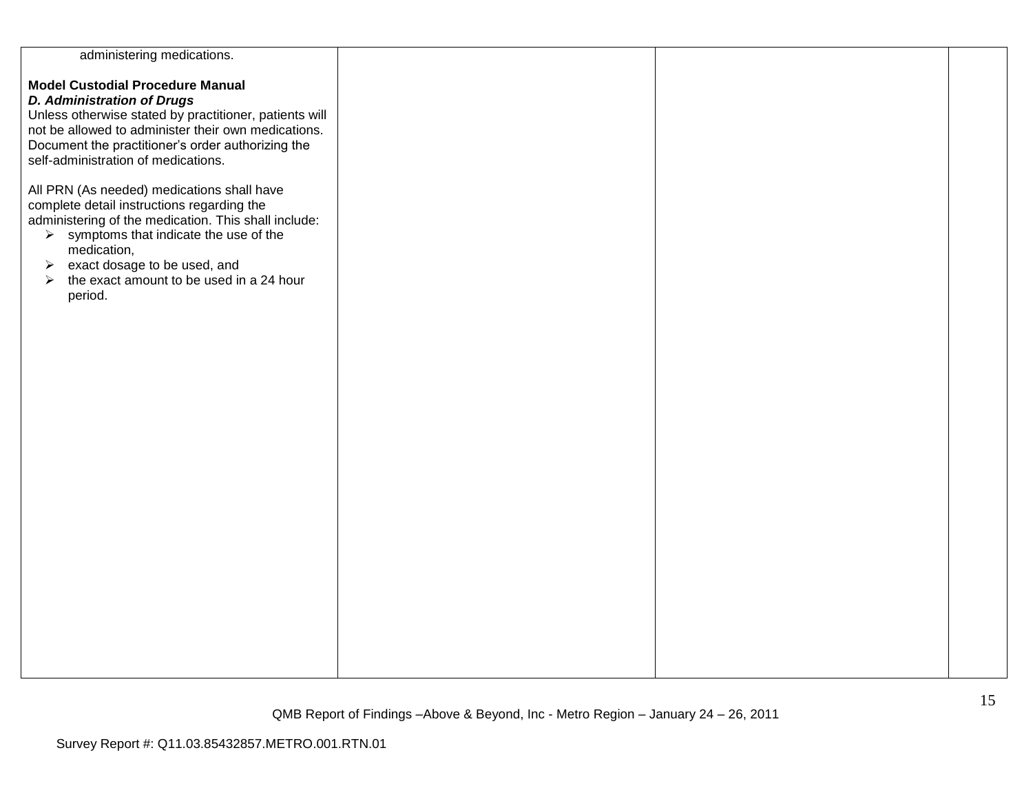| administering medications.                                        |  |  |
|-------------------------------------------------------------------|--|--|
|                                                                   |  |  |
|                                                                   |  |  |
| <b>Model Custodial Procedure Manual</b>                           |  |  |
| <b>D. Administration of Drugs</b>                                 |  |  |
| Unless otherwise stated by practitioner, patients will            |  |  |
| not be allowed to administer their own medications.               |  |  |
|                                                                   |  |  |
| Document the practitioner's order authorizing the                 |  |  |
| self-administration of medications.                               |  |  |
|                                                                   |  |  |
| All PRN (As needed) medications shall have                        |  |  |
| complete detail instructions regarding the                        |  |  |
| administering of the medication. This shall include:              |  |  |
|                                                                   |  |  |
| $\triangleright$ symptoms that indicate the use of the            |  |  |
| medication,                                                       |  |  |
| exact dosage to be used, and<br>➤                                 |  |  |
| the exact amount to be used in a 24 hour<br>$\blacktriangleright$ |  |  |
| period.                                                           |  |  |
|                                                                   |  |  |
|                                                                   |  |  |
|                                                                   |  |  |
|                                                                   |  |  |
|                                                                   |  |  |
|                                                                   |  |  |
|                                                                   |  |  |
|                                                                   |  |  |
|                                                                   |  |  |
|                                                                   |  |  |
|                                                                   |  |  |
|                                                                   |  |  |
|                                                                   |  |  |
|                                                                   |  |  |
|                                                                   |  |  |
|                                                                   |  |  |
|                                                                   |  |  |
|                                                                   |  |  |
|                                                                   |  |  |
|                                                                   |  |  |
|                                                                   |  |  |
|                                                                   |  |  |
|                                                                   |  |  |
|                                                                   |  |  |
|                                                                   |  |  |
|                                                                   |  |  |
|                                                                   |  |  |
|                                                                   |  |  |
|                                                                   |  |  |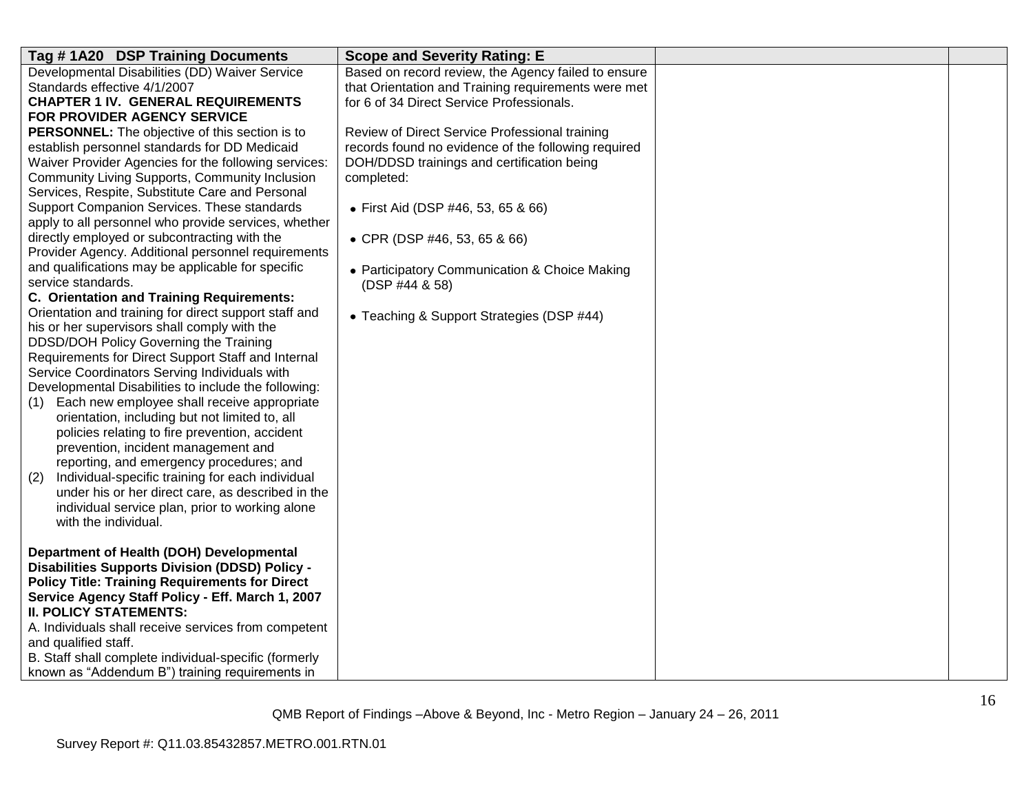| Tag #1A20 DSP Training Documents                        | <b>Scope and Severity Rating: E</b>                 |  |
|---------------------------------------------------------|-----------------------------------------------------|--|
| Developmental Disabilities (DD) Waiver Service          | Based on record review, the Agency failed to ensure |  |
| Standards effective 4/1/2007                            | that Orientation and Training requirements were met |  |
| <b>CHAPTER 1 IV. GENERAL REQUIREMENTS</b>               | for 6 of 34 Direct Service Professionals.           |  |
| FOR PROVIDER AGENCY SERVICE                             |                                                     |  |
| <b>PERSONNEL:</b> The objective of this section is to   | Review of Direct Service Professional training      |  |
| establish personnel standards for DD Medicaid           | records found no evidence of the following required |  |
| Waiver Provider Agencies for the following services:    | DOH/DDSD trainings and certification being          |  |
| Community Living Supports, Community Inclusion          | completed:                                          |  |
| Services, Respite, Substitute Care and Personal         |                                                     |  |
| Support Companion Services. These standards             | • First Aid (DSP #46, 53, 65 & 66)                  |  |
| apply to all personnel who provide services, whether    |                                                     |  |
| directly employed or subcontracting with the            | • CPR (DSP #46, 53, 65 & 66)                        |  |
| Provider Agency. Additional personnel requirements      |                                                     |  |
| and qualifications may be applicable for specific       | • Participatory Communication & Choice Making       |  |
| service standards.                                      | (DSP #44 & 58)                                      |  |
| C. Orientation and Training Requirements:               |                                                     |  |
| Orientation and training for direct support staff and   | • Teaching & Support Strategies (DSP #44)           |  |
| his or her supervisors shall comply with the            |                                                     |  |
| DDSD/DOH Policy Governing the Training                  |                                                     |  |
| Requirements for Direct Support Staff and Internal      |                                                     |  |
| Service Coordinators Serving Individuals with           |                                                     |  |
| Developmental Disabilities to include the following:    |                                                     |  |
| Each new employee shall receive appropriate<br>(1)      |                                                     |  |
| orientation, including but not limited to, all          |                                                     |  |
| policies relating to fire prevention, accident          |                                                     |  |
| prevention, incident management and                     |                                                     |  |
| reporting, and emergency procedures; and                |                                                     |  |
| Individual-specific training for each individual<br>(2) |                                                     |  |
| under his or her direct care, as described in the       |                                                     |  |
| individual service plan, prior to working alone         |                                                     |  |
| with the individual.                                    |                                                     |  |
|                                                         |                                                     |  |
| Department of Health (DOH) Developmental                |                                                     |  |
| <b>Disabilities Supports Division (DDSD) Policy -</b>   |                                                     |  |
| <b>Policy Title: Training Requirements for Direct</b>   |                                                     |  |
| Service Agency Staff Policy - Eff. March 1, 2007        |                                                     |  |
| <b>II. POLICY STATEMENTS:</b>                           |                                                     |  |
| A. Individuals shall receive services from competent    |                                                     |  |
| and qualified staff.                                    |                                                     |  |
| B. Staff shall complete individual-specific (formerly   |                                                     |  |
| known as "Addendum B") training requirements in         |                                                     |  |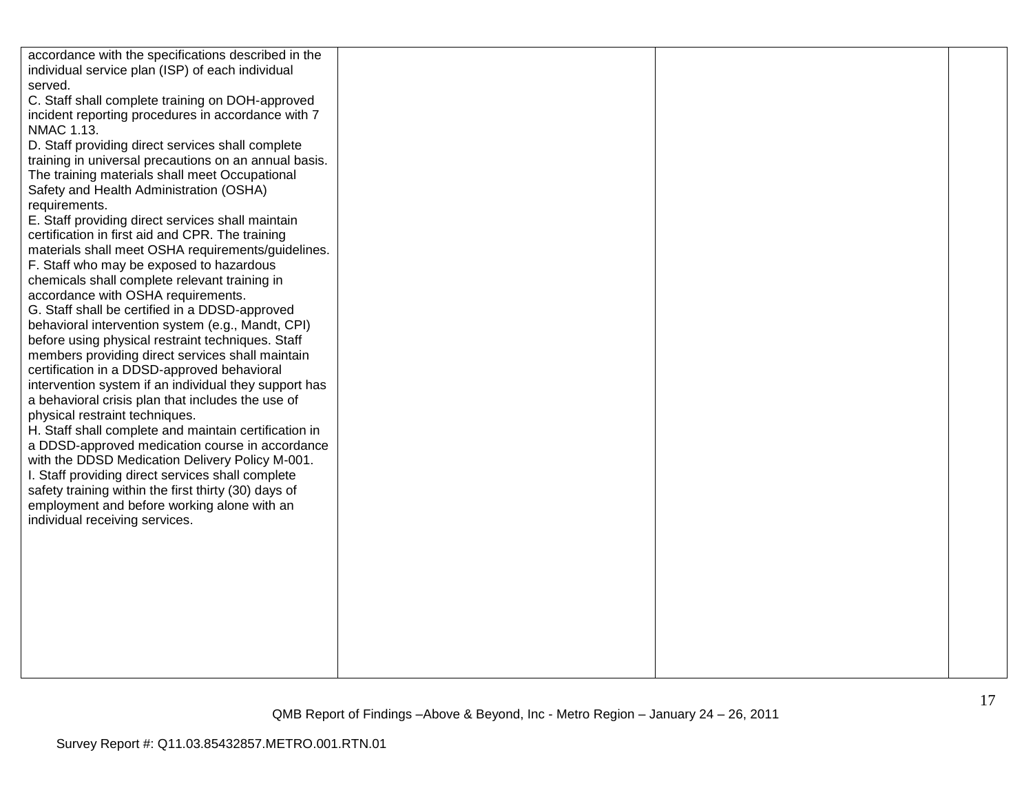| accordance with the specifications described in the<br>individual service plan (ISP) of each individual<br>served.<br>C. Staff shall complete training on DOH-approved<br>incident reporting procedures in accordance with 7<br>NMAC 1.13.<br>D. Staff providing direct services shall complete<br>training in universal precautions on an annual basis.<br>The training materials shall meet Occupational<br>Safety and Health Administration (OSHA)<br>requirements.<br>E. Staff providing direct services shall maintain<br>certification in first aid and CPR. The training<br>materials shall meet OSHA requirements/guidelines.<br>F. Staff who may be exposed to hazardous<br>chemicals shall complete relevant training in<br>accordance with OSHA requirements.<br>G. Staff shall be certified in a DDSD-approved<br>behavioral intervention system (e.g., Mandt, CPI)<br>before using physical restraint techniques. Staff<br>members providing direct services shall maintain<br>certification in a DDSD-approved behavioral<br>intervention system if an individual they support has<br>a behavioral crisis plan that includes the use of<br>physical restraint techniques.<br>H. Staff shall complete and maintain certification in<br>a DDSD-approved medication course in accordance<br>with the DDSD Medication Delivery Policy M-001.<br>I. Staff providing direct services shall complete<br>safety training within the first thirty (30) days of<br>employment and before working alone with an<br>individual receiving services. |  |  |
|------------------------------------------------------------------------------------------------------------------------------------------------------------------------------------------------------------------------------------------------------------------------------------------------------------------------------------------------------------------------------------------------------------------------------------------------------------------------------------------------------------------------------------------------------------------------------------------------------------------------------------------------------------------------------------------------------------------------------------------------------------------------------------------------------------------------------------------------------------------------------------------------------------------------------------------------------------------------------------------------------------------------------------------------------------------------------------------------------------------------------------------------------------------------------------------------------------------------------------------------------------------------------------------------------------------------------------------------------------------------------------------------------------------------------------------------------------------------------------------------------------------------------------------------------|--|--|
|                                                                                                                                                                                                                                                                                                                                                                                                                                                                                                                                                                                                                                                                                                                                                                                                                                                                                                                                                                                                                                                                                                                                                                                                                                                                                                                                                                                                                                                                                                                                                      |  |  |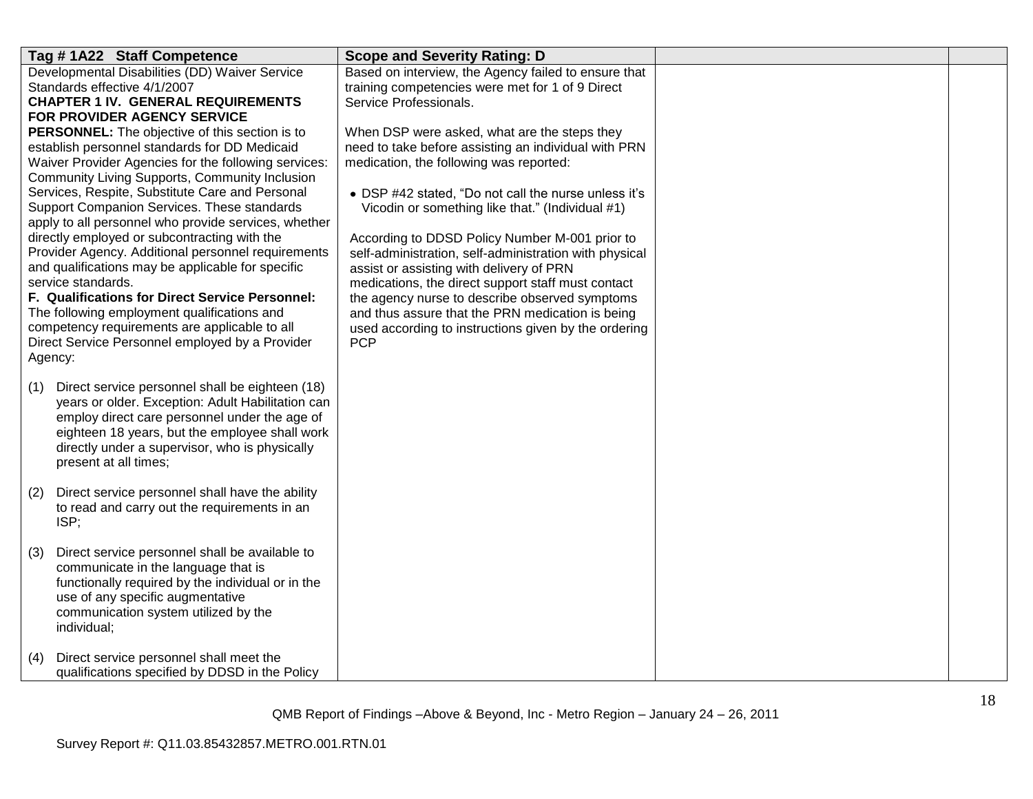| Tag #1A22 Staff Competence                                                                             | <b>Scope and Severity Rating: D</b>                                                                  |  |
|--------------------------------------------------------------------------------------------------------|------------------------------------------------------------------------------------------------------|--|
| Developmental Disabilities (DD) Waiver Service                                                         | Based on interview, the Agency failed to ensure that                                                 |  |
| Standards effective 4/1/2007                                                                           | training competencies were met for 1 of 9 Direct                                                     |  |
| <b>CHAPTER 1 IV. GENERAL REQUIREMENTS</b>                                                              | Service Professionals.                                                                               |  |
| FOR PROVIDER AGENCY SERVICE                                                                            |                                                                                                      |  |
| PERSONNEL: The objective of this section is to<br>establish personnel standards for DD Medicaid        | When DSP were asked, what are the steps they<br>need to take before assisting an individual with PRN |  |
| Waiver Provider Agencies for the following services:                                                   | medication, the following was reported:                                                              |  |
| Community Living Supports, Community Inclusion                                                         |                                                                                                      |  |
| Services, Respite, Substitute Care and Personal                                                        | • DSP #42 stated, "Do not call the nurse unless it's                                                 |  |
| Support Companion Services. These standards                                                            | Vicodin or something like that." (Individual #1)                                                     |  |
| apply to all personnel who provide services, whether                                                   |                                                                                                      |  |
| directly employed or subcontracting with the                                                           | According to DDSD Policy Number M-001 prior to                                                       |  |
| Provider Agency. Additional personnel requirements                                                     | self-administration, self-administration with physical                                               |  |
| and qualifications may be applicable for specific                                                      | assist or assisting with delivery of PRN                                                             |  |
| service standards.                                                                                     | medications, the direct support staff must contact                                                   |  |
| F. Qualifications for Direct Service Personnel:                                                        | the agency nurse to describe observed symptoms                                                       |  |
| The following employment qualifications and                                                            | and thus assure that the PRN medication is being                                                     |  |
| competency requirements are applicable to all<br>Direct Service Personnel employed by a Provider       | used according to instructions given by the ordering<br><b>PCP</b>                                   |  |
| Agency:                                                                                                |                                                                                                      |  |
|                                                                                                        |                                                                                                      |  |
| Direct service personnel shall be eighteen (18)<br>(1)                                                 |                                                                                                      |  |
| years or older. Exception: Adult Habilitation can                                                      |                                                                                                      |  |
| employ direct care personnel under the age of                                                          |                                                                                                      |  |
| eighteen 18 years, but the employee shall work                                                         |                                                                                                      |  |
| directly under a supervisor, who is physically                                                         |                                                                                                      |  |
| present at all times;                                                                                  |                                                                                                      |  |
|                                                                                                        |                                                                                                      |  |
| Direct service personnel shall have the ability<br>(2)<br>to read and carry out the requirements in an |                                                                                                      |  |
| ISP;                                                                                                   |                                                                                                      |  |
|                                                                                                        |                                                                                                      |  |
| Direct service personnel shall be available to<br>(3)                                                  |                                                                                                      |  |
| communicate in the language that is                                                                    |                                                                                                      |  |
| functionally required by the individual or in the                                                      |                                                                                                      |  |
| use of any specific augmentative                                                                       |                                                                                                      |  |
| communication system utilized by the                                                                   |                                                                                                      |  |
| individual;                                                                                            |                                                                                                      |  |
|                                                                                                        |                                                                                                      |  |
| Direct service personnel shall meet the<br>(4)<br>qualifications specified by DDSD in the Policy       |                                                                                                      |  |
|                                                                                                        |                                                                                                      |  |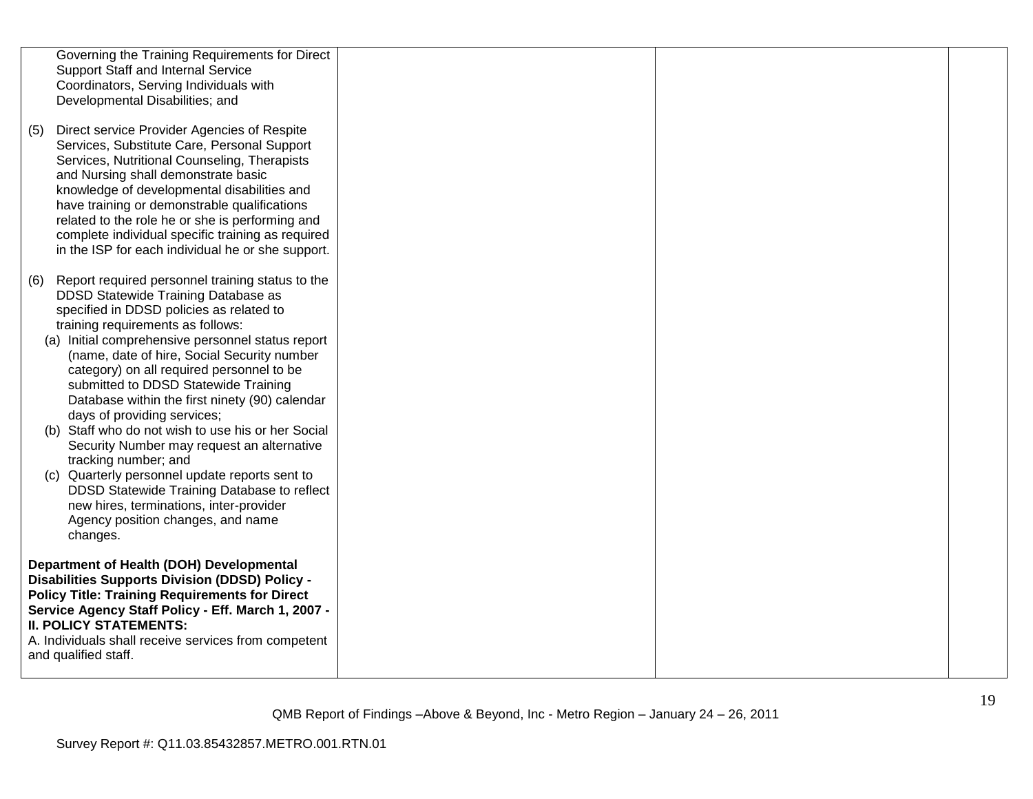|            | Governing the Training Requirements for Direct<br>Support Staff and Internal Service<br>Coordinators, Serving Individuals with<br>Developmental Disabilities; and                                                                                                                                                                                                                                                                                                                                                                                                                                                                                                                                                                                                       |  |  |
|------------|-------------------------------------------------------------------------------------------------------------------------------------------------------------------------------------------------------------------------------------------------------------------------------------------------------------------------------------------------------------------------------------------------------------------------------------------------------------------------------------------------------------------------------------------------------------------------------------------------------------------------------------------------------------------------------------------------------------------------------------------------------------------------|--|--|
| (5)        | Direct service Provider Agencies of Respite<br>Services, Substitute Care, Personal Support<br>Services, Nutritional Counseling, Therapists<br>and Nursing shall demonstrate basic<br>knowledge of developmental disabilities and<br>have training or demonstrable qualifications<br>related to the role he or she is performing and<br>complete individual specific training as required<br>in the ISP for each individual he or she support.                                                                                                                                                                                                                                                                                                                           |  |  |
| (6)<br>(C) | Report required personnel training status to the<br>DDSD Statewide Training Database as<br>specified in DDSD policies as related to<br>training requirements as follows:<br>(a) Initial comprehensive personnel status report<br>(name, date of hire, Social Security number<br>category) on all required personnel to be<br>submitted to DDSD Statewide Training<br>Database within the first ninety (90) calendar<br>days of providing services;<br>(b) Staff who do not wish to use his or her Social<br>Security Number may request an alternative<br>tracking number; and<br>Quarterly personnel update reports sent to<br>DDSD Statewide Training Database to reflect<br>new hires, terminations, inter-provider<br>Agency position changes, and name<br>changes. |  |  |
|            | Department of Health (DOH) Developmental<br><b>Disabilities Supports Division (DDSD) Policy -</b><br><b>Policy Title: Training Requirements for Direct</b><br>Service Agency Staff Policy - Eff. March 1, 2007 -<br><b>II. POLICY STATEMENTS:</b><br>A. Individuals shall receive services from competent<br>and qualified staff.                                                                                                                                                                                                                                                                                                                                                                                                                                       |  |  |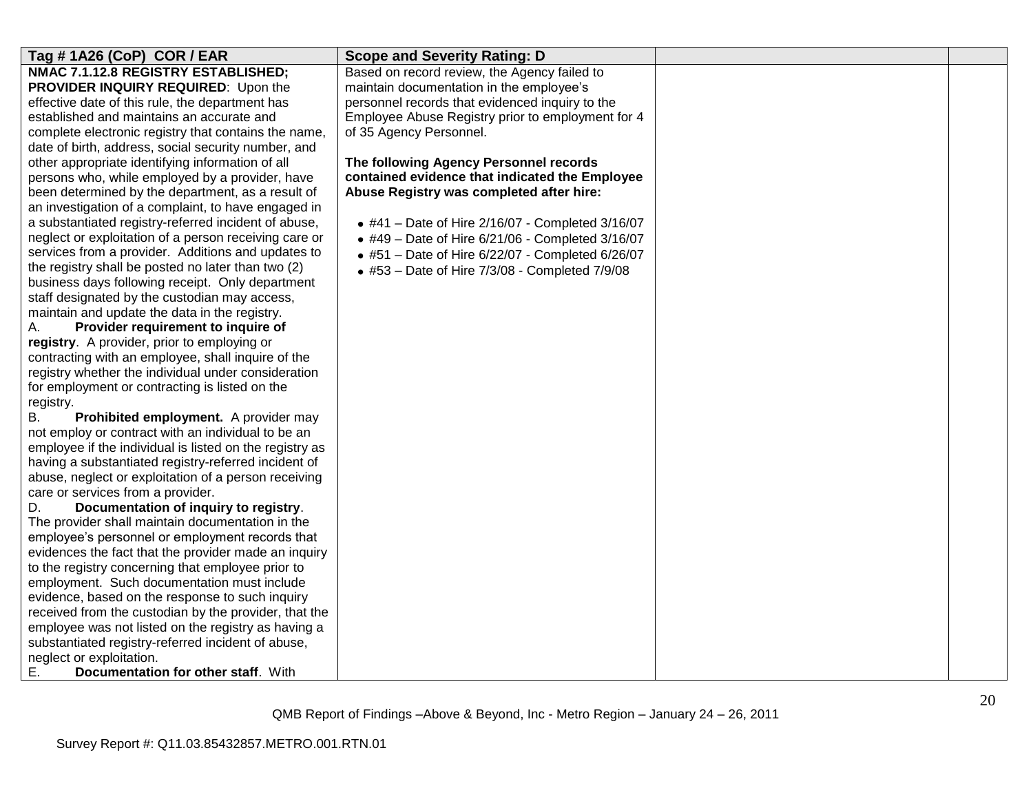| Tag #1A26 (CoP) COR / EAR                                                                      | <b>Scope and Severity Rating: D</b>               |  |
|------------------------------------------------------------------------------------------------|---------------------------------------------------|--|
| NMAC 7.1.12.8 REGISTRY ESTABLISHED;                                                            | Based on record review, the Agency failed to      |  |
| PROVIDER INQUIRY REQUIRED: Upon the                                                            | maintain documentation in the employee's          |  |
| effective date of this rule, the department has                                                | personnel records that evidenced inquiry to the   |  |
| established and maintains an accurate and                                                      | Employee Abuse Registry prior to employment for 4 |  |
| complete electronic registry that contains the name,                                           | of 35 Agency Personnel.                           |  |
| date of birth, address, social security number, and                                            |                                                   |  |
| other appropriate identifying information of all                                               | The following Agency Personnel records            |  |
| persons who, while employed by a provider, have                                                | contained evidence that indicated the Employee    |  |
| been determined by the department, as a result of                                              | Abuse Registry was completed after hire:          |  |
| an investigation of a complaint, to have engaged in                                            |                                                   |  |
| a substantiated registry-referred incident of abuse,                                           | • #41 - Date of Hire 2/16/07 - Completed 3/16/07  |  |
| neglect or exploitation of a person receiving care or                                          | • #49 - Date of Hire 6/21/06 - Completed 3/16/07  |  |
| services from a provider. Additions and updates to                                             | • #51 - Date of Hire 6/22/07 - Completed 6/26/07  |  |
| the registry shall be posted no later than two (2)                                             | • #53 - Date of Hire 7/3/08 - Completed 7/9/08    |  |
| business days following receipt. Only department                                               |                                                   |  |
| staff designated by the custodian may access,                                                  |                                                   |  |
| maintain and update the data in the registry.                                                  |                                                   |  |
| Provider requirement to inquire of<br>А.                                                       |                                                   |  |
| registry. A provider, prior to employing or                                                    |                                                   |  |
| contracting with an employee, shall inquire of the                                             |                                                   |  |
| registry whether the individual under consideration                                            |                                                   |  |
| for employment or contracting is listed on the                                                 |                                                   |  |
| registry.                                                                                      |                                                   |  |
| Prohibited employment. A provider may<br>В.                                                    |                                                   |  |
| not employ or contract with an individual to be an                                             |                                                   |  |
| employee if the individual is listed on the registry as                                        |                                                   |  |
| having a substantiated registry-referred incident of                                           |                                                   |  |
| abuse, neglect or exploitation of a person receiving                                           |                                                   |  |
| care or services from a provider.                                                              |                                                   |  |
| Documentation of inquiry to registry.<br>D.                                                    |                                                   |  |
| The provider shall maintain documentation in the                                               |                                                   |  |
| employee's personnel or employment records that                                                |                                                   |  |
| evidences the fact that the provider made an inquiry                                           |                                                   |  |
| to the registry concerning that employee prior to                                              |                                                   |  |
| employment. Such documentation must include<br>evidence, based on the response to such inquiry |                                                   |  |
| received from the custodian by the provider, that the                                          |                                                   |  |
| employee was not listed on the registry as having a                                            |                                                   |  |
| substantiated registry-referred incident of abuse,                                             |                                                   |  |
| neglect or exploitation.                                                                       |                                                   |  |
| Ε.<br>Documentation for other staff. With                                                      |                                                   |  |
|                                                                                                |                                                   |  |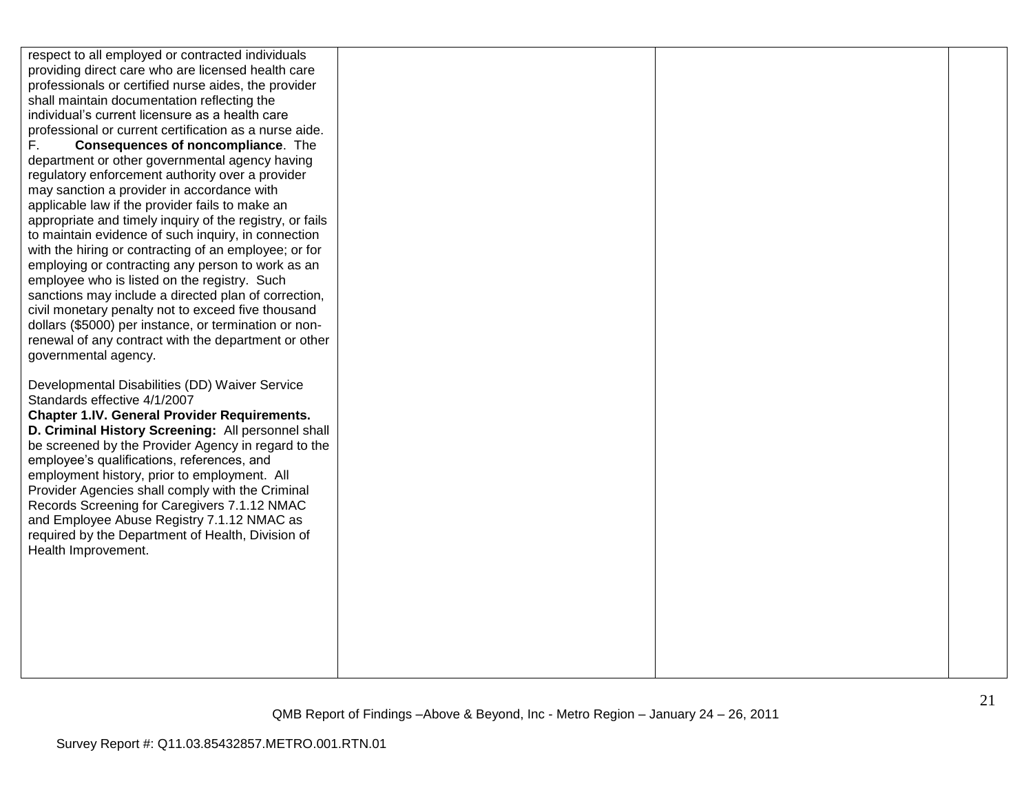respect to all employed or contracted individuals providing direct care who are licensed health care professionals or certified nurse aides, the provider shall maintain documentation reflecting the individual"s current licensure as a health care professional or current certification as a nurse aide. F. **Consequences of noncompliance**. The department or other governmental agency having regulatory enforcement authority over a provider may sanction a provider in accordance with applicable law if the provider fails to make an appropriate and timely inquiry of the registry, or fails to maintain evidence of such inquiry, in connection with the hiring or contracting of an employee; or for employing or contracting any person to work as an employee who is listed on the registry. Such sanctions may include a directed plan of correction, civil monetary penalty not to exceed five thousand dollars (\$5000) per instance, or termination or nonrenewal of any contract with the department or other governmental agency. Developmental Disabilities (DD) Waiver Service Standards effective 4/1/2007 **Chapter 1.IV. General Provider Requirements. D. Criminal History Screening:** All personnel shall be screened by the Provider Agency in regard to the employee"s qualifications, references, and employment history, prior to employment. All Provider Agencies shall comply with the Criminal Records Screening for Caregivers 7.1.12 NMAC and Employee Abuse Registry 7.1.12 NMAC as required by the Department of Health, Division of Health Improvement.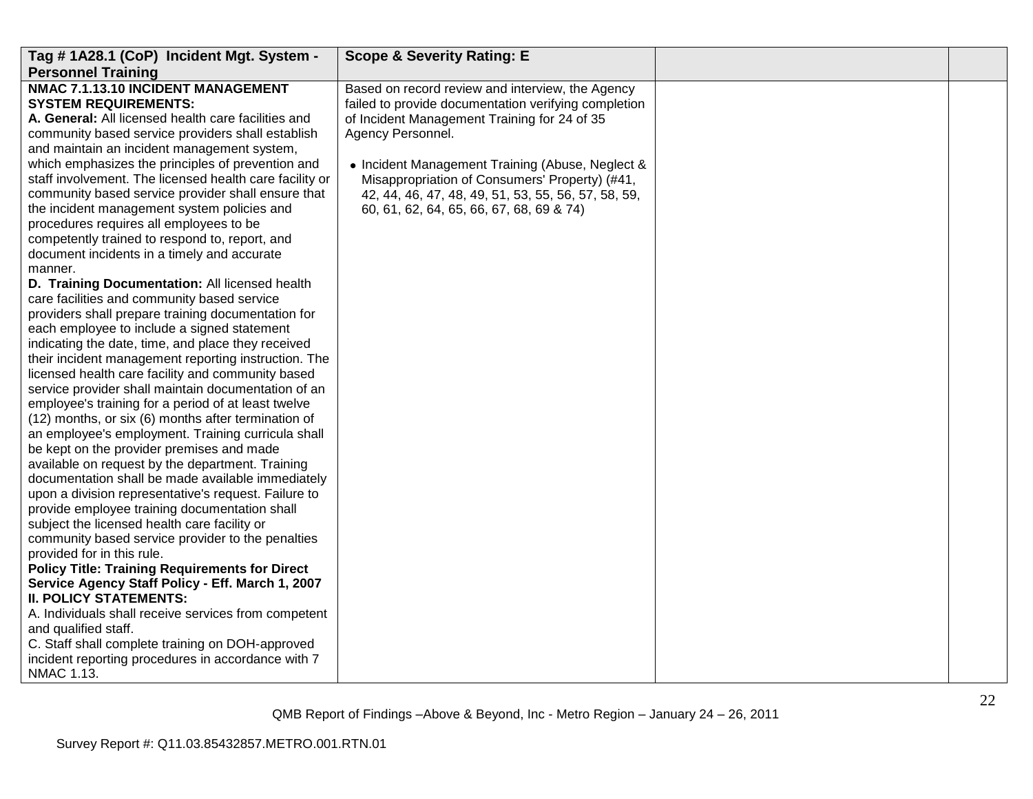| Tag # 1A28.1 (CoP) Incident Mgt. System -               | <b>Scope &amp; Severity Rating: E</b>                |  |
|---------------------------------------------------------|------------------------------------------------------|--|
| <b>Personnel Training</b>                               |                                                      |  |
| NMAC 7.1.13.10 INCIDENT MANAGEMENT                      | Based on record review and interview, the Agency     |  |
| <b>SYSTEM REQUIREMENTS:</b>                             | failed to provide documentation verifying completion |  |
| A. General: All licensed health care facilities and     | of Incident Management Training for 24 of 35         |  |
| community based service providers shall establish       | Agency Personnel.                                    |  |
| and maintain an incident management system,             |                                                      |  |
| which emphasizes the principles of prevention and       | • Incident Management Training (Abuse, Neglect &     |  |
| staff involvement. The licensed health care facility or | Misappropriation of Consumers' Property) (#41,       |  |
| community based service provider shall ensure that      | 42, 44, 46, 47, 48, 49, 51, 53, 55, 56, 57, 58, 59,  |  |
| the incident management system policies and             | 60, 61, 62, 64, 65, 66, 67, 68, 69 & 74)             |  |
| procedures requires all employees to be                 |                                                      |  |
| competently trained to respond to, report, and          |                                                      |  |
| document incidents in a timely and accurate             |                                                      |  |
| manner.                                                 |                                                      |  |
| D. Training Documentation: All licensed health          |                                                      |  |
| care facilities and community based service             |                                                      |  |
| providers shall prepare training documentation for      |                                                      |  |
| each employee to include a signed statement             |                                                      |  |
| indicating the date, time, and place they received      |                                                      |  |
| their incident management reporting instruction. The    |                                                      |  |
| licensed health care facility and community based       |                                                      |  |
| service provider shall maintain documentation of an     |                                                      |  |
| employee's training for a period of at least twelve     |                                                      |  |
| (12) months, or six (6) months after termination of     |                                                      |  |
| an employee's employment. Training curricula shall      |                                                      |  |
| be kept on the provider premises and made               |                                                      |  |
| available on request by the department. Training        |                                                      |  |
| documentation shall be made available immediately       |                                                      |  |
| upon a division representative's request. Failure to    |                                                      |  |
| provide employee training documentation shall           |                                                      |  |
| subject the licensed health care facility or            |                                                      |  |
| community based service provider to the penalties       |                                                      |  |
| provided for in this rule.                              |                                                      |  |
| <b>Policy Title: Training Requirements for Direct</b>   |                                                      |  |
| Service Agency Staff Policy - Eff. March 1, 2007        |                                                      |  |
| <b>II. POLICY STATEMENTS:</b>                           |                                                      |  |
| A. Individuals shall receive services from competent    |                                                      |  |
| and qualified staff.                                    |                                                      |  |
| C. Staff shall complete training on DOH-approved        |                                                      |  |
| incident reporting procedures in accordance with 7      |                                                      |  |
| NMAC 1.13.                                              |                                                      |  |
|                                                         |                                                      |  |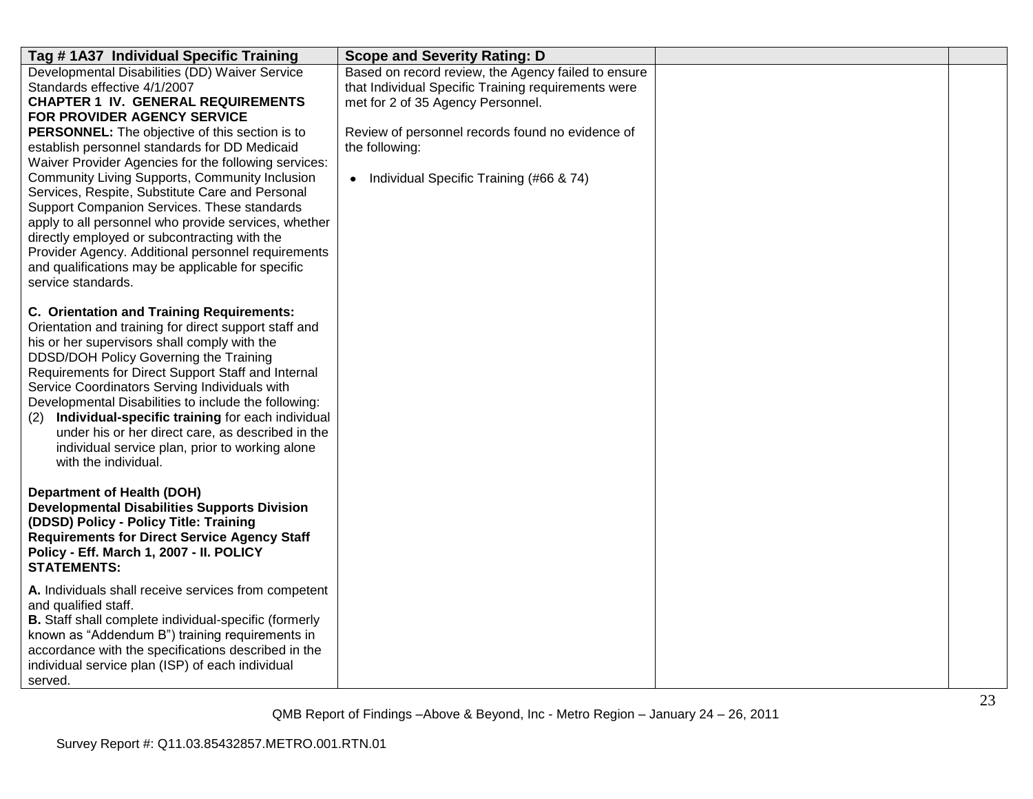| Tag #1A37 Individual Specific Training                                                                                                                                                                                                                                                                                                                                                                                                                                                                                                                                                                                                                                                                                    | <b>Scope and Severity Rating: D</b>                                                                                                                                                                                                                                |  |
|---------------------------------------------------------------------------------------------------------------------------------------------------------------------------------------------------------------------------------------------------------------------------------------------------------------------------------------------------------------------------------------------------------------------------------------------------------------------------------------------------------------------------------------------------------------------------------------------------------------------------------------------------------------------------------------------------------------------------|--------------------------------------------------------------------------------------------------------------------------------------------------------------------------------------------------------------------------------------------------------------------|--|
| Developmental Disabilities (DD) Waiver Service<br>Standards effective 4/1/2007<br><b>CHAPTER 1 IV. GENERAL REQUIREMENTS</b><br><b>FOR PROVIDER AGENCY SERVICE</b><br>PERSONNEL: The objective of this section is to<br>establish personnel standards for DD Medicaid<br>Waiver Provider Agencies for the following services:<br>Community Living Supports, Community Inclusion<br>Services, Respite, Substitute Care and Personal<br>Support Companion Services. These standards<br>apply to all personnel who provide services, whether<br>directly employed or subcontracting with the<br>Provider Agency. Additional personnel requirements<br>and qualifications may be applicable for specific<br>service standards. | Based on record review, the Agency failed to ensure<br>that Individual Specific Training requirements were<br>met for 2 of 35 Agency Personnel.<br>Review of personnel records found no evidence of<br>the following:<br>• Individual Specific Training (#66 & 74) |  |
| C. Orientation and Training Requirements:<br>Orientation and training for direct support staff and<br>his or her supervisors shall comply with the<br>DDSD/DOH Policy Governing the Training<br>Requirements for Direct Support Staff and Internal<br>Service Coordinators Serving Individuals with<br>Developmental Disabilities to include the following:<br>Individual-specific training for each individual<br>(2)<br>under his or her direct care, as described in the<br>individual service plan, prior to working alone<br>with the individual.                                                                                                                                                                    |                                                                                                                                                                                                                                                                    |  |
| <b>Department of Health (DOH)</b><br><b>Developmental Disabilities Supports Division</b><br>(DDSD) Policy - Policy Title: Training<br><b>Requirements for Direct Service Agency Staff</b><br>Policy - Eff. March 1, 2007 - II. POLICY<br><b>STATEMENTS:</b>                                                                                                                                                                                                                                                                                                                                                                                                                                                               |                                                                                                                                                                                                                                                                    |  |
| A. Individuals shall receive services from competent<br>and qualified staff.<br><b>B.</b> Staff shall complete individual-specific (formerly<br>known as "Addendum B") training requirements in<br>accordance with the specifications described in the<br>individual service plan (ISP) of each individual<br>served.                                                                                                                                                                                                                                                                                                                                                                                                     |                                                                                                                                                                                                                                                                    |  |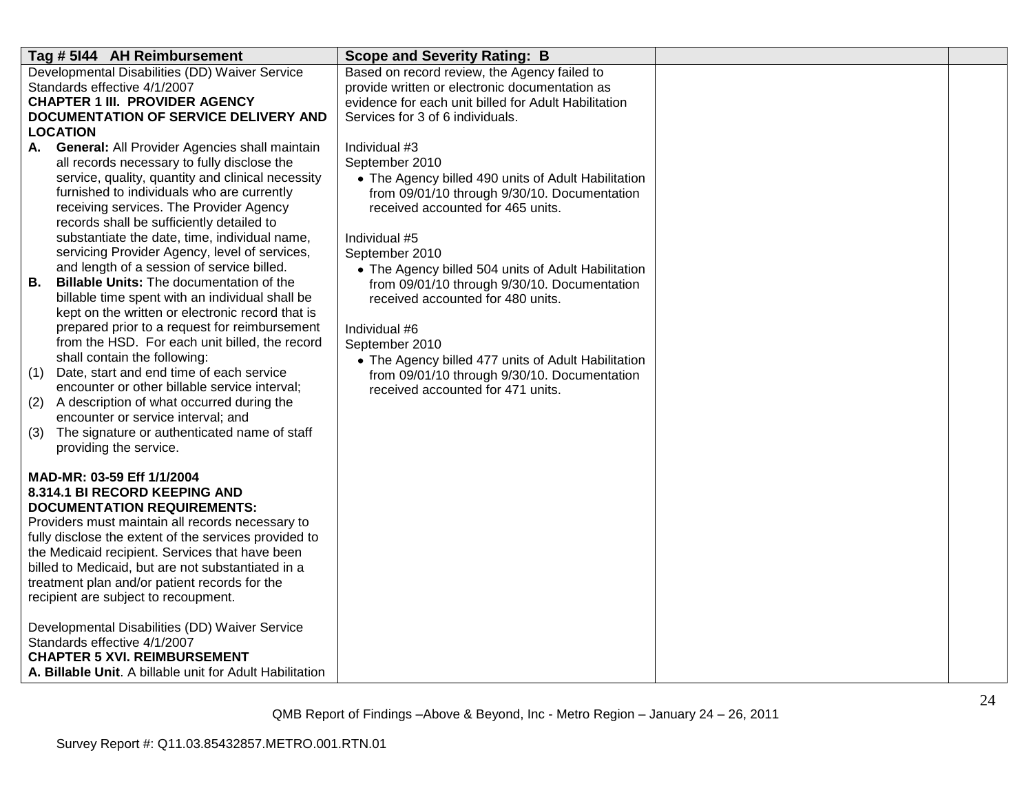| Tag # 5144 AH Reimbursement                                                          | <b>Scope and Severity Rating: B</b>                  |  |
|--------------------------------------------------------------------------------------|------------------------------------------------------|--|
| Developmental Disabilities (DD) Waiver Service                                       | Based on record review, the Agency failed to         |  |
| Standards effective 4/1/2007                                                         | provide written or electronic documentation as       |  |
| <b>CHAPTER 1 III. PROVIDER AGENCY</b>                                                | evidence for each unit billed for Adult Habilitation |  |
| DOCUMENTATION OF SERVICE DELIVERY AND                                                | Services for 3 of 6 individuals.                     |  |
| <b>LOCATION</b>                                                                      |                                                      |  |
| <b>General: All Provider Agencies shall maintain</b><br>А.                           | Individual #3                                        |  |
| all records necessary to fully disclose the                                          | September 2010                                       |  |
| service, quality, quantity and clinical necessity                                    | • The Agency billed 490 units of Adult Habilitation  |  |
| furnished to individuals who are currently                                           | from 09/01/10 through 9/30/10. Documentation         |  |
| receiving services. The Provider Agency<br>records shall be sufficiently detailed to | received accounted for 465 units.                    |  |
| substantiate the date, time, individual name,                                        | Individual #5                                        |  |
| servicing Provider Agency, level of services,                                        | September 2010                                       |  |
| and length of a session of service billed.                                           | • The Agency billed 504 units of Adult Habilitation  |  |
| <b>Billable Units: The documentation of the</b><br>В.                                | from 09/01/10 through 9/30/10. Documentation         |  |
| billable time spent with an individual shall be                                      | received accounted for 480 units.                    |  |
| kept on the written or electronic record that is                                     |                                                      |  |
| prepared prior to a request for reimbursement                                        | Individual #6                                        |  |
| from the HSD. For each unit billed, the record                                       | September 2010                                       |  |
| shall contain the following:                                                         | • The Agency billed 477 units of Adult Habilitation  |  |
| Date, start and end time of each service<br>(1)                                      | from 09/01/10 through 9/30/10. Documentation         |  |
| encounter or other billable service interval;                                        | received accounted for 471 units.                    |  |
| A description of what occurred during the<br>(2)                                     |                                                      |  |
| encounter or service interval; and                                                   |                                                      |  |
| The signature or authenticated name of staff<br>(3)                                  |                                                      |  |
| providing the service.                                                               |                                                      |  |
|                                                                                      |                                                      |  |
| MAD-MR: 03-59 Eff 1/1/2004<br>8.314.1 BI RECORD KEEPING AND                          |                                                      |  |
| <b>DOCUMENTATION REQUIREMENTS:</b>                                                   |                                                      |  |
| Providers must maintain all records necessary to                                     |                                                      |  |
| fully disclose the extent of the services provided to                                |                                                      |  |
| the Medicaid recipient. Services that have been                                      |                                                      |  |
| billed to Medicaid, but are not substantiated in a                                   |                                                      |  |
| treatment plan and/or patient records for the                                        |                                                      |  |
| recipient are subject to recoupment.                                                 |                                                      |  |
|                                                                                      |                                                      |  |
| Developmental Disabilities (DD) Waiver Service                                       |                                                      |  |
| Standards effective 4/1/2007                                                         |                                                      |  |
| <b>CHAPTER 5 XVI. REIMBURSEMENT</b>                                                  |                                                      |  |
| A. Billable Unit. A billable unit for Adult Habilitation                             |                                                      |  |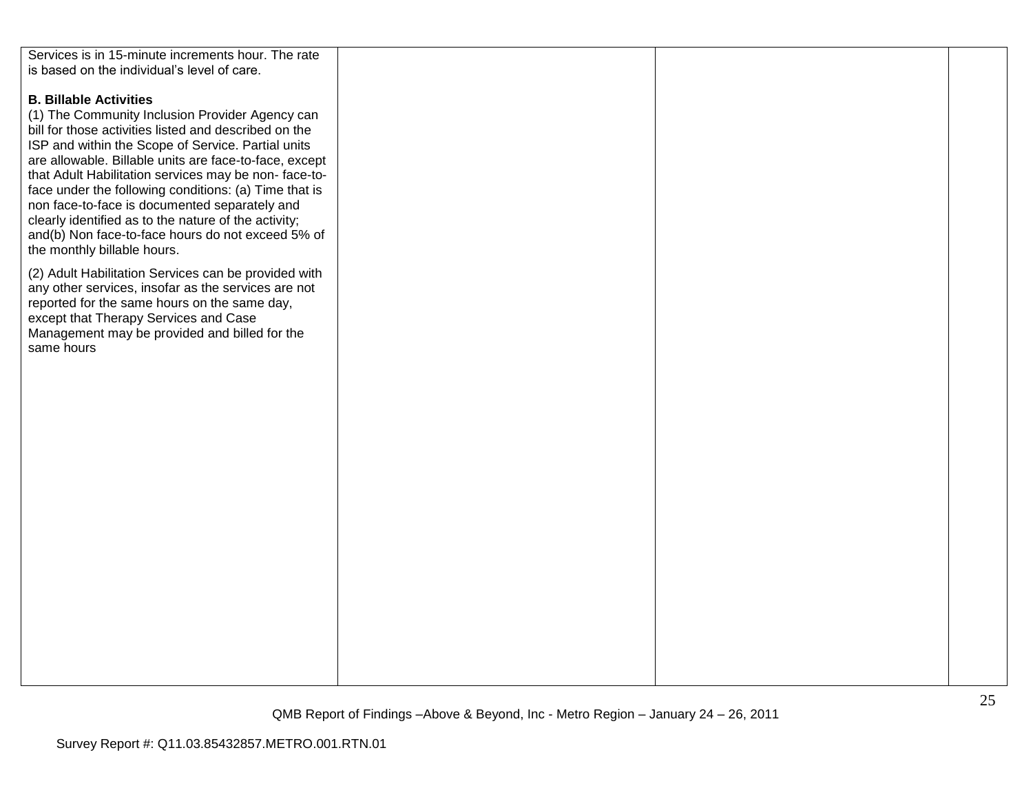| Services is in 15-minute increments hour. The rate     |  |  |
|--------------------------------------------------------|--|--|
| is based on the individual's level of care.            |  |  |
|                                                        |  |  |
|                                                        |  |  |
| <b>B. Billable Activities</b>                          |  |  |
| (1) The Community Inclusion Provider Agency can        |  |  |
|                                                        |  |  |
| bill for those activities listed and described on the  |  |  |
| ISP and within the Scope of Service. Partial units     |  |  |
| are allowable. Billable units are face-to-face, except |  |  |
| that Adult Habilitation services may be non-face-to-   |  |  |
|                                                        |  |  |
| face under the following conditions: (a) Time that is  |  |  |
| non face-to-face is documented separately and          |  |  |
| clearly identified as to the nature of the activity;   |  |  |
| and(b) Non face-to-face hours do not exceed 5% of      |  |  |
| the monthly billable hours.                            |  |  |
|                                                        |  |  |
| (2) Adult Habilitation Services can be provided with   |  |  |
| any other services, insofar as the services are not    |  |  |
|                                                        |  |  |
| reported for the same hours on the same day,           |  |  |
| except that Therapy Services and Case                  |  |  |
| Management may be provided and billed for the          |  |  |
| same hours                                             |  |  |
|                                                        |  |  |
|                                                        |  |  |
|                                                        |  |  |
|                                                        |  |  |
|                                                        |  |  |
|                                                        |  |  |
|                                                        |  |  |
|                                                        |  |  |
|                                                        |  |  |
|                                                        |  |  |
|                                                        |  |  |
|                                                        |  |  |
|                                                        |  |  |
|                                                        |  |  |
|                                                        |  |  |
|                                                        |  |  |
|                                                        |  |  |
|                                                        |  |  |
|                                                        |  |  |
|                                                        |  |  |
|                                                        |  |  |
|                                                        |  |  |
|                                                        |  |  |
|                                                        |  |  |
|                                                        |  |  |
|                                                        |  |  |
|                                                        |  |  |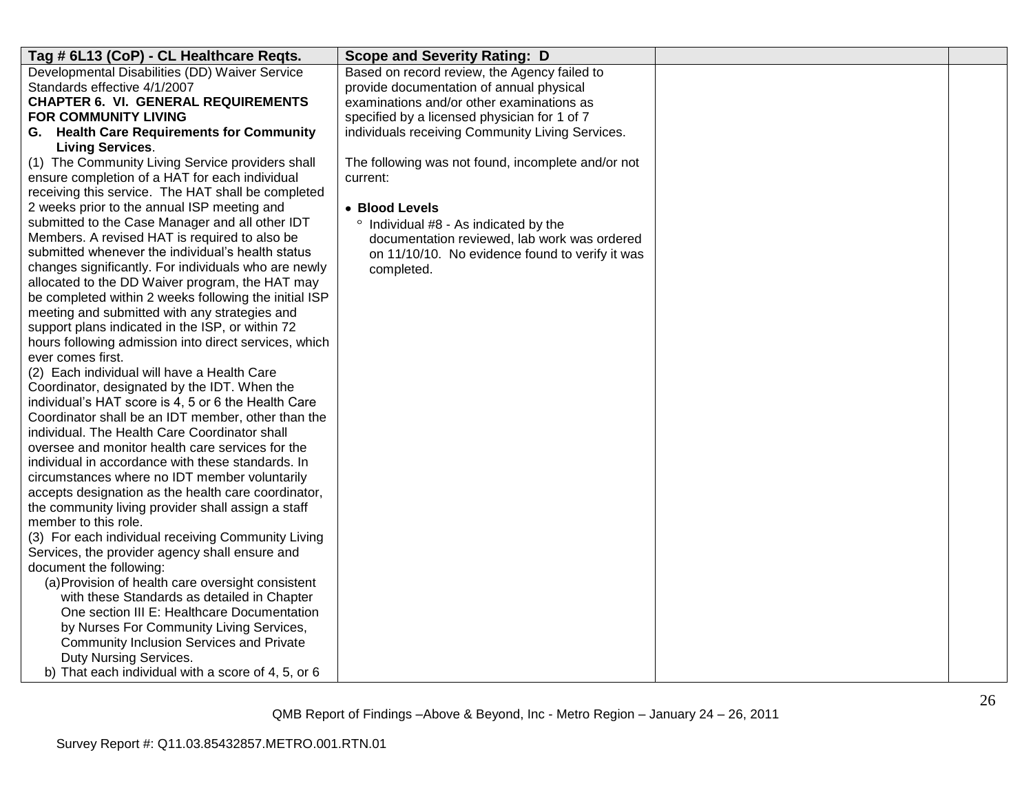| Based on record review, the Agency failed to<br>provide documentation of annual physical<br>examinations and/or other examinations as<br>specified by a licensed physician for 1 of 7<br>individuals receiving Community Living Services.<br><b>Living Services.</b><br>(1) The Community Living Service providers shall<br>The following was not found, incomplete and/or not<br>ensure completion of a HAT for each individual<br>current:<br>receiving this service. The HAT shall be completed<br>2 weeks prior to the annual ISP meeting and<br>• Blood Levels<br>submitted to the Case Manager and all other IDT<br>° Individual #8 - As indicated by the<br>Members. A revised HAT is required to also be<br>documentation reviewed, lab work was ordered<br>submitted whenever the individual's health status<br>on 11/10/10. No evidence found to verify it was<br>changes significantly. For individuals who are newly<br>completed.<br>allocated to the DD Waiver program, the HAT may<br>be completed within 2 weeks following the initial ISP<br>meeting and submitted with any strategies and<br>support plans indicated in the ISP, or within 72<br>hours following admission into direct services, which<br>ever comes first.<br>(2) Each individual will have a Health Care<br>Coordinator, designated by the IDT. When the<br>individual's HAT score is 4, 5 or 6 the Health Care<br>Coordinator shall be an IDT member, other than the<br>individual. The Health Care Coordinator shall<br>oversee and monitor health care services for the<br>individual in accordance with these standards. In<br>circumstances where no IDT member voluntarily<br>accepts designation as the health care coordinator,<br>the community living provider shall assign a staff<br>member to this role.<br>(3) For each individual receiving Community Living<br>Services, the provider agency shall ensure and<br>document the following:<br>(a) Provision of health care oversight consistent<br>with these Standards as detailed in Chapter<br>One section III E: Healthcare Documentation | Tag # 6L13 (CoP) - CL Healthcare Regts.        | <b>Scope and Severity Rating: D</b> |  |
|-------------------------------------------------------------------------------------------------------------------------------------------------------------------------------------------------------------------------------------------------------------------------------------------------------------------------------------------------------------------------------------------------------------------------------------------------------------------------------------------------------------------------------------------------------------------------------------------------------------------------------------------------------------------------------------------------------------------------------------------------------------------------------------------------------------------------------------------------------------------------------------------------------------------------------------------------------------------------------------------------------------------------------------------------------------------------------------------------------------------------------------------------------------------------------------------------------------------------------------------------------------------------------------------------------------------------------------------------------------------------------------------------------------------------------------------------------------------------------------------------------------------------------------------------------------------------------------------------------------------------------------------------------------------------------------------------------------------------------------------------------------------------------------------------------------------------------------------------------------------------------------------------------------------------------------------------------------------------------------------------------------------------------------------------------------------------------------------------|------------------------------------------------|-------------------------------------|--|
|                                                                                                                                                                                                                                                                                                                                                                                                                                                                                                                                                                                                                                                                                                                                                                                                                                                                                                                                                                                                                                                                                                                                                                                                                                                                                                                                                                                                                                                                                                                                                                                                                                                                                                                                                                                                                                                                                                                                                                                                                                                                                                 | Developmental Disabilities (DD) Waiver Service |                                     |  |
|                                                                                                                                                                                                                                                                                                                                                                                                                                                                                                                                                                                                                                                                                                                                                                                                                                                                                                                                                                                                                                                                                                                                                                                                                                                                                                                                                                                                                                                                                                                                                                                                                                                                                                                                                                                                                                                                                                                                                                                                                                                                                                 | Standards effective 4/1/2007                   |                                     |  |
|                                                                                                                                                                                                                                                                                                                                                                                                                                                                                                                                                                                                                                                                                                                                                                                                                                                                                                                                                                                                                                                                                                                                                                                                                                                                                                                                                                                                                                                                                                                                                                                                                                                                                                                                                                                                                                                                                                                                                                                                                                                                                                 | <b>CHAPTER 6. VI. GENERAL REQUIREMENTS</b>     |                                     |  |
|                                                                                                                                                                                                                                                                                                                                                                                                                                                                                                                                                                                                                                                                                                                                                                                                                                                                                                                                                                                                                                                                                                                                                                                                                                                                                                                                                                                                                                                                                                                                                                                                                                                                                                                                                                                                                                                                                                                                                                                                                                                                                                 | FOR COMMUNITY LIVING                           |                                     |  |
|                                                                                                                                                                                                                                                                                                                                                                                                                                                                                                                                                                                                                                                                                                                                                                                                                                                                                                                                                                                                                                                                                                                                                                                                                                                                                                                                                                                                                                                                                                                                                                                                                                                                                                                                                                                                                                                                                                                                                                                                                                                                                                 | G. Health Care Requirements for Community      |                                     |  |
|                                                                                                                                                                                                                                                                                                                                                                                                                                                                                                                                                                                                                                                                                                                                                                                                                                                                                                                                                                                                                                                                                                                                                                                                                                                                                                                                                                                                                                                                                                                                                                                                                                                                                                                                                                                                                                                                                                                                                                                                                                                                                                 |                                                |                                     |  |
|                                                                                                                                                                                                                                                                                                                                                                                                                                                                                                                                                                                                                                                                                                                                                                                                                                                                                                                                                                                                                                                                                                                                                                                                                                                                                                                                                                                                                                                                                                                                                                                                                                                                                                                                                                                                                                                                                                                                                                                                                                                                                                 |                                                |                                     |  |
|                                                                                                                                                                                                                                                                                                                                                                                                                                                                                                                                                                                                                                                                                                                                                                                                                                                                                                                                                                                                                                                                                                                                                                                                                                                                                                                                                                                                                                                                                                                                                                                                                                                                                                                                                                                                                                                                                                                                                                                                                                                                                                 |                                                |                                     |  |
|                                                                                                                                                                                                                                                                                                                                                                                                                                                                                                                                                                                                                                                                                                                                                                                                                                                                                                                                                                                                                                                                                                                                                                                                                                                                                                                                                                                                                                                                                                                                                                                                                                                                                                                                                                                                                                                                                                                                                                                                                                                                                                 |                                                |                                     |  |
|                                                                                                                                                                                                                                                                                                                                                                                                                                                                                                                                                                                                                                                                                                                                                                                                                                                                                                                                                                                                                                                                                                                                                                                                                                                                                                                                                                                                                                                                                                                                                                                                                                                                                                                                                                                                                                                                                                                                                                                                                                                                                                 |                                                |                                     |  |
|                                                                                                                                                                                                                                                                                                                                                                                                                                                                                                                                                                                                                                                                                                                                                                                                                                                                                                                                                                                                                                                                                                                                                                                                                                                                                                                                                                                                                                                                                                                                                                                                                                                                                                                                                                                                                                                                                                                                                                                                                                                                                                 |                                                |                                     |  |
|                                                                                                                                                                                                                                                                                                                                                                                                                                                                                                                                                                                                                                                                                                                                                                                                                                                                                                                                                                                                                                                                                                                                                                                                                                                                                                                                                                                                                                                                                                                                                                                                                                                                                                                                                                                                                                                                                                                                                                                                                                                                                                 |                                                |                                     |  |
|                                                                                                                                                                                                                                                                                                                                                                                                                                                                                                                                                                                                                                                                                                                                                                                                                                                                                                                                                                                                                                                                                                                                                                                                                                                                                                                                                                                                                                                                                                                                                                                                                                                                                                                                                                                                                                                                                                                                                                                                                                                                                                 |                                                |                                     |  |
|                                                                                                                                                                                                                                                                                                                                                                                                                                                                                                                                                                                                                                                                                                                                                                                                                                                                                                                                                                                                                                                                                                                                                                                                                                                                                                                                                                                                                                                                                                                                                                                                                                                                                                                                                                                                                                                                                                                                                                                                                                                                                                 |                                                |                                     |  |
|                                                                                                                                                                                                                                                                                                                                                                                                                                                                                                                                                                                                                                                                                                                                                                                                                                                                                                                                                                                                                                                                                                                                                                                                                                                                                                                                                                                                                                                                                                                                                                                                                                                                                                                                                                                                                                                                                                                                                                                                                                                                                                 |                                                |                                     |  |
|                                                                                                                                                                                                                                                                                                                                                                                                                                                                                                                                                                                                                                                                                                                                                                                                                                                                                                                                                                                                                                                                                                                                                                                                                                                                                                                                                                                                                                                                                                                                                                                                                                                                                                                                                                                                                                                                                                                                                                                                                                                                                                 |                                                |                                     |  |
|                                                                                                                                                                                                                                                                                                                                                                                                                                                                                                                                                                                                                                                                                                                                                                                                                                                                                                                                                                                                                                                                                                                                                                                                                                                                                                                                                                                                                                                                                                                                                                                                                                                                                                                                                                                                                                                                                                                                                                                                                                                                                                 |                                                |                                     |  |
|                                                                                                                                                                                                                                                                                                                                                                                                                                                                                                                                                                                                                                                                                                                                                                                                                                                                                                                                                                                                                                                                                                                                                                                                                                                                                                                                                                                                                                                                                                                                                                                                                                                                                                                                                                                                                                                                                                                                                                                                                                                                                                 |                                                |                                     |  |
|                                                                                                                                                                                                                                                                                                                                                                                                                                                                                                                                                                                                                                                                                                                                                                                                                                                                                                                                                                                                                                                                                                                                                                                                                                                                                                                                                                                                                                                                                                                                                                                                                                                                                                                                                                                                                                                                                                                                                                                                                                                                                                 |                                                |                                     |  |
|                                                                                                                                                                                                                                                                                                                                                                                                                                                                                                                                                                                                                                                                                                                                                                                                                                                                                                                                                                                                                                                                                                                                                                                                                                                                                                                                                                                                                                                                                                                                                                                                                                                                                                                                                                                                                                                                                                                                                                                                                                                                                                 |                                                |                                     |  |
|                                                                                                                                                                                                                                                                                                                                                                                                                                                                                                                                                                                                                                                                                                                                                                                                                                                                                                                                                                                                                                                                                                                                                                                                                                                                                                                                                                                                                                                                                                                                                                                                                                                                                                                                                                                                                                                                                                                                                                                                                                                                                                 |                                                |                                     |  |
|                                                                                                                                                                                                                                                                                                                                                                                                                                                                                                                                                                                                                                                                                                                                                                                                                                                                                                                                                                                                                                                                                                                                                                                                                                                                                                                                                                                                                                                                                                                                                                                                                                                                                                                                                                                                                                                                                                                                                                                                                                                                                                 |                                                |                                     |  |
|                                                                                                                                                                                                                                                                                                                                                                                                                                                                                                                                                                                                                                                                                                                                                                                                                                                                                                                                                                                                                                                                                                                                                                                                                                                                                                                                                                                                                                                                                                                                                                                                                                                                                                                                                                                                                                                                                                                                                                                                                                                                                                 |                                                |                                     |  |
|                                                                                                                                                                                                                                                                                                                                                                                                                                                                                                                                                                                                                                                                                                                                                                                                                                                                                                                                                                                                                                                                                                                                                                                                                                                                                                                                                                                                                                                                                                                                                                                                                                                                                                                                                                                                                                                                                                                                                                                                                                                                                                 |                                                |                                     |  |
|                                                                                                                                                                                                                                                                                                                                                                                                                                                                                                                                                                                                                                                                                                                                                                                                                                                                                                                                                                                                                                                                                                                                                                                                                                                                                                                                                                                                                                                                                                                                                                                                                                                                                                                                                                                                                                                                                                                                                                                                                                                                                                 |                                                |                                     |  |
|                                                                                                                                                                                                                                                                                                                                                                                                                                                                                                                                                                                                                                                                                                                                                                                                                                                                                                                                                                                                                                                                                                                                                                                                                                                                                                                                                                                                                                                                                                                                                                                                                                                                                                                                                                                                                                                                                                                                                                                                                                                                                                 |                                                |                                     |  |
|                                                                                                                                                                                                                                                                                                                                                                                                                                                                                                                                                                                                                                                                                                                                                                                                                                                                                                                                                                                                                                                                                                                                                                                                                                                                                                                                                                                                                                                                                                                                                                                                                                                                                                                                                                                                                                                                                                                                                                                                                                                                                                 |                                                |                                     |  |
|                                                                                                                                                                                                                                                                                                                                                                                                                                                                                                                                                                                                                                                                                                                                                                                                                                                                                                                                                                                                                                                                                                                                                                                                                                                                                                                                                                                                                                                                                                                                                                                                                                                                                                                                                                                                                                                                                                                                                                                                                                                                                                 |                                                |                                     |  |
|                                                                                                                                                                                                                                                                                                                                                                                                                                                                                                                                                                                                                                                                                                                                                                                                                                                                                                                                                                                                                                                                                                                                                                                                                                                                                                                                                                                                                                                                                                                                                                                                                                                                                                                                                                                                                                                                                                                                                                                                                                                                                                 |                                                |                                     |  |
|                                                                                                                                                                                                                                                                                                                                                                                                                                                                                                                                                                                                                                                                                                                                                                                                                                                                                                                                                                                                                                                                                                                                                                                                                                                                                                                                                                                                                                                                                                                                                                                                                                                                                                                                                                                                                                                                                                                                                                                                                                                                                                 |                                                |                                     |  |
|                                                                                                                                                                                                                                                                                                                                                                                                                                                                                                                                                                                                                                                                                                                                                                                                                                                                                                                                                                                                                                                                                                                                                                                                                                                                                                                                                                                                                                                                                                                                                                                                                                                                                                                                                                                                                                                                                                                                                                                                                                                                                                 |                                                |                                     |  |
|                                                                                                                                                                                                                                                                                                                                                                                                                                                                                                                                                                                                                                                                                                                                                                                                                                                                                                                                                                                                                                                                                                                                                                                                                                                                                                                                                                                                                                                                                                                                                                                                                                                                                                                                                                                                                                                                                                                                                                                                                                                                                                 |                                                |                                     |  |
|                                                                                                                                                                                                                                                                                                                                                                                                                                                                                                                                                                                                                                                                                                                                                                                                                                                                                                                                                                                                                                                                                                                                                                                                                                                                                                                                                                                                                                                                                                                                                                                                                                                                                                                                                                                                                                                                                                                                                                                                                                                                                                 |                                                |                                     |  |
|                                                                                                                                                                                                                                                                                                                                                                                                                                                                                                                                                                                                                                                                                                                                                                                                                                                                                                                                                                                                                                                                                                                                                                                                                                                                                                                                                                                                                                                                                                                                                                                                                                                                                                                                                                                                                                                                                                                                                                                                                                                                                                 |                                                |                                     |  |
|                                                                                                                                                                                                                                                                                                                                                                                                                                                                                                                                                                                                                                                                                                                                                                                                                                                                                                                                                                                                                                                                                                                                                                                                                                                                                                                                                                                                                                                                                                                                                                                                                                                                                                                                                                                                                                                                                                                                                                                                                                                                                                 |                                                |                                     |  |
|                                                                                                                                                                                                                                                                                                                                                                                                                                                                                                                                                                                                                                                                                                                                                                                                                                                                                                                                                                                                                                                                                                                                                                                                                                                                                                                                                                                                                                                                                                                                                                                                                                                                                                                                                                                                                                                                                                                                                                                                                                                                                                 |                                                |                                     |  |
|                                                                                                                                                                                                                                                                                                                                                                                                                                                                                                                                                                                                                                                                                                                                                                                                                                                                                                                                                                                                                                                                                                                                                                                                                                                                                                                                                                                                                                                                                                                                                                                                                                                                                                                                                                                                                                                                                                                                                                                                                                                                                                 | by Nurses For Community Living Services,       |                                     |  |
| Community Inclusion Services and Private                                                                                                                                                                                                                                                                                                                                                                                                                                                                                                                                                                                                                                                                                                                                                                                                                                                                                                                                                                                                                                                                                                                                                                                                                                                                                                                                                                                                                                                                                                                                                                                                                                                                                                                                                                                                                                                                                                                                                                                                                                                        |                                                |                                     |  |
| Duty Nursing Services.                                                                                                                                                                                                                                                                                                                                                                                                                                                                                                                                                                                                                                                                                                                                                                                                                                                                                                                                                                                                                                                                                                                                                                                                                                                                                                                                                                                                                                                                                                                                                                                                                                                                                                                                                                                                                                                                                                                                                                                                                                                                          |                                                |                                     |  |
| b) That each individual with a score of 4, 5, or 6                                                                                                                                                                                                                                                                                                                                                                                                                                                                                                                                                                                                                                                                                                                                                                                                                                                                                                                                                                                                                                                                                                                                                                                                                                                                                                                                                                                                                                                                                                                                                                                                                                                                                                                                                                                                                                                                                                                                                                                                                                              |                                                |                                     |  |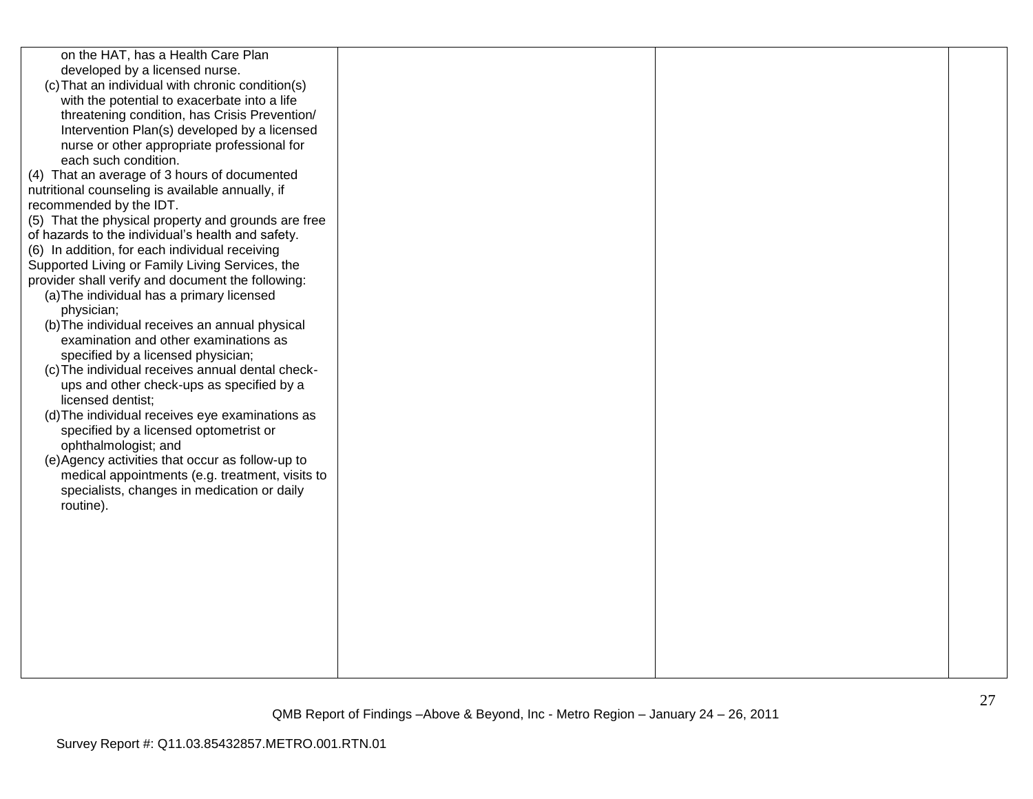| on the HAT, has a Health Care Plan<br>developed by a licensed nurse.<br>(c) That an individual with chronic condition(s)<br>with the potential to exacerbate into a life<br>threatening condition, has Crisis Prevention/<br>Intervention Plan(s) developed by a licensed<br>nurse or other appropriate professional for<br>each such condition.<br>(4) That an average of 3 hours of documented<br>nutritional counseling is available annually, if<br>recommended by the IDT.<br>(5) That the physical property and grounds are free<br>of hazards to the individual's health and safety.<br>(6) In addition, for each individual receiving<br>Supported Living or Family Living Services, the<br>provider shall verify and document the following:<br>(a) The individual has a primary licensed<br>physician;<br>(b) The individual receives an annual physical<br>examination and other examinations as<br>specified by a licensed physician;<br>(c) The individual receives annual dental check-<br>ups and other check-ups as specified by a<br>licensed dentist;<br>(d) The individual receives eye examinations as<br>specified by a licensed optometrist or<br>ophthalmologist; and<br>(e) Agency activities that occur as follow-up to<br>medical appointments (e.g. treatment, visits to<br>specialists, changes in medication or daily<br>routine). |  |  |
|-----------------------------------------------------------------------------------------------------------------------------------------------------------------------------------------------------------------------------------------------------------------------------------------------------------------------------------------------------------------------------------------------------------------------------------------------------------------------------------------------------------------------------------------------------------------------------------------------------------------------------------------------------------------------------------------------------------------------------------------------------------------------------------------------------------------------------------------------------------------------------------------------------------------------------------------------------------------------------------------------------------------------------------------------------------------------------------------------------------------------------------------------------------------------------------------------------------------------------------------------------------------------------------------------------------------------------------------------------------------|--|--|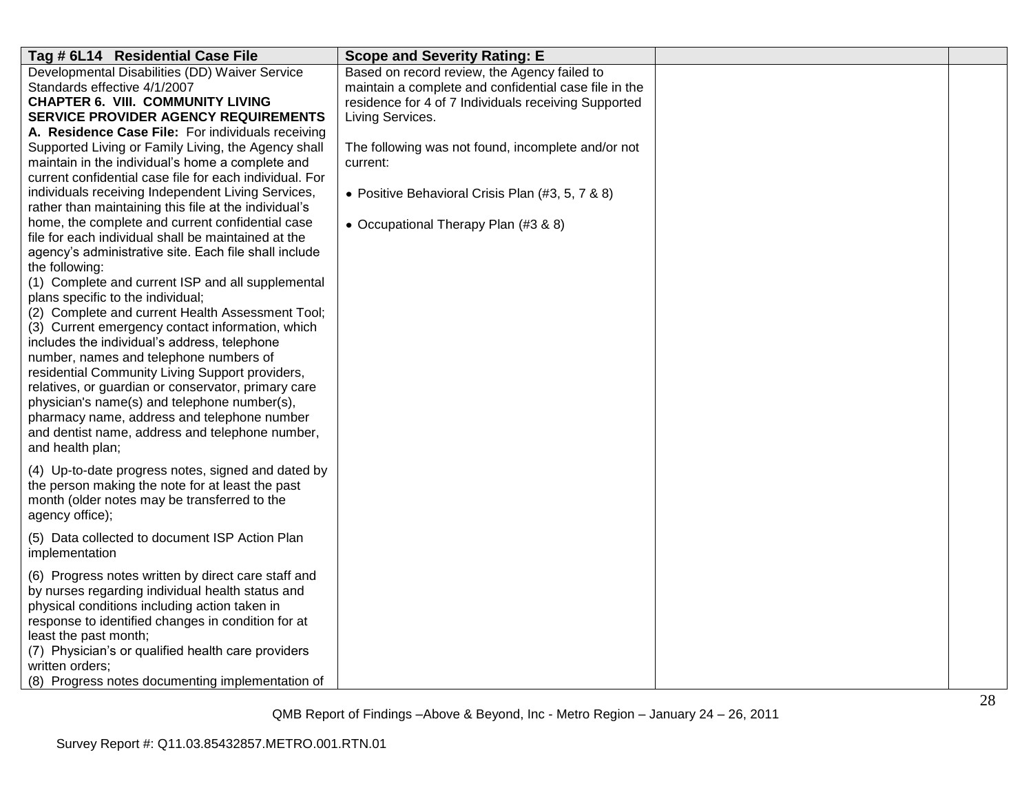| Tag # 6L14 Residential Case File                                                                                                                                                                                                                                                                                                                                                                                                                                                                                                                                                                                                                                                                                                                                                                                                                                                                            | <b>Scope and Severity Rating: E</b>                                                                                                                                                                                                                                                                                                             |  |
|-------------------------------------------------------------------------------------------------------------------------------------------------------------------------------------------------------------------------------------------------------------------------------------------------------------------------------------------------------------------------------------------------------------------------------------------------------------------------------------------------------------------------------------------------------------------------------------------------------------------------------------------------------------------------------------------------------------------------------------------------------------------------------------------------------------------------------------------------------------------------------------------------------------|-------------------------------------------------------------------------------------------------------------------------------------------------------------------------------------------------------------------------------------------------------------------------------------------------------------------------------------------------|--|
| Developmental Disabilities (DD) Waiver Service<br>Standards effective 4/1/2007<br><b>CHAPTER 6. VIII. COMMUNITY LIVING</b><br><b>SERVICE PROVIDER AGENCY REQUIREMENTS</b><br>A. Residence Case File: For individuals receiving<br>Supported Living or Family Living, the Agency shall<br>maintain in the individual's home a complete and<br>current confidential case file for each individual. For<br>individuals receiving Independent Living Services,<br>rather than maintaining this file at the individual's<br>home, the complete and current confidential case<br>file for each individual shall be maintained at the<br>agency's administrative site. Each file shall include<br>the following:<br>(1) Complete and current ISP and all supplemental<br>plans specific to the individual;<br>(2) Complete and current Health Assessment Tool;<br>(3) Current emergency contact information, which | Based on record review, the Agency failed to<br>maintain a complete and confidential case file in the<br>residence for 4 of 7 Individuals receiving Supported<br>Living Services.<br>The following was not found, incomplete and/or not<br>current:<br>• Positive Behavioral Crisis Plan (#3, 5, 7 & 8)<br>• Occupational Therapy Plan (#3 & 8) |  |
| includes the individual's address, telephone<br>number, names and telephone numbers of<br>residential Community Living Support providers,<br>relatives, or guardian or conservator, primary care<br>physician's name(s) and telephone number(s),<br>pharmacy name, address and telephone number<br>and dentist name, address and telephone number,<br>and health plan;                                                                                                                                                                                                                                                                                                                                                                                                                                                                                                                                      |                                                                                                                                                                                                                                                                                                                                                 |  |
| (4) Up-to-date progress notes, signed and dated by<br>the person making the note for at least the past<br>month (older notes may be transferred to the<br>agency office);                                                                                                                                                                                                                                                                                                                                                                                                                                                                                                                                                                                                                                                                                                                                   |                                                                                                                                                                                                                                                                                                                                                 |  |
| (5) Data collected to document ISP Action Plan<br>implementation                                                                                                                                                                                                                                                                                                                                                                                                                                                                                                                                                                                                                                                                                                                                                                                                                                            |                                                                                                                                                                                                                                                                                                                                                 |  |
| (6) Progress notes written by direct care staff and<br>by nurses regarding individual health status and<br>physical conditions including action taken in<br>response to identified changes in condition for at<br>least the past month;<br>(7) Physician's or qualified health care providers<br>written orders;<br>(8) Progress notes documenting implementation of                                                                                                                                                                                                                                                                                                                                                                                                                                                                                                                                        |                                                                                                                                                                                                                                                                                                                                                 |  |